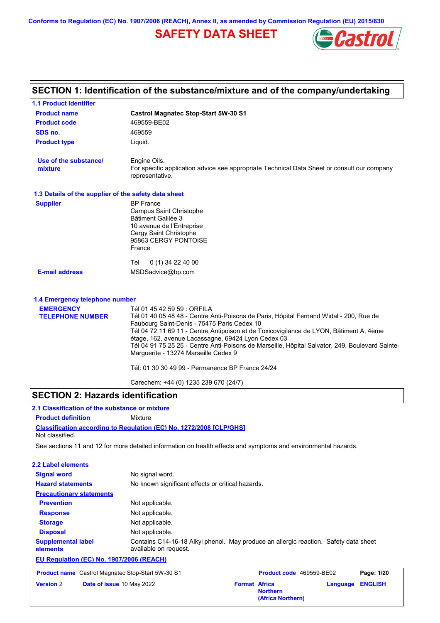**Conforms to Regulation (EC) No. 1907/2006 (REACH), Annex II, as amended by Commission Regulation (EU) 2015/830**

## **SAFETY DATA SHEET**



| SECTION 1: Identification of the substance/mixture and of the company/undertaking |                                                                                                             |  |
|-----------------------------------------------------------------------------------|-------------------------------------------------------------------------------------------------------------|--|
| <b>1.1 Product identifier</b>                                                     |                                                                                                             |  |
| <b>Product name</b>                                                               | <b>Castrol Magnatec Stop-Start 5W-30 S1</b>                                                                 |  |
| <b>Product code</b>                                                               | 469559-BE02                                                                                                 |  |
| SDS no.                                                                           | 469559                                                                                                      |  |
| <b>Product type</b>                                                               | Liquid.                                                                                                     |  |
| Use of the substance/<br>mixture                                                  | Engine Oils.<br>For specific application advice see appropriate Technical Data Sheet or consult our company |  |
|                                                                                   | representative.                                                                                             |  |
| 1.3 Details of the supplier of the safety data sheet                              |                                                                                                             |  |
| <b>Supplier</b>                                                                   | <b>BP</b> France                                                                                            |  |
|                                                                                   | <b>Campus Saint Christophe</b>                                                                              |  |
|                                                                                   | Bâtiment Galilée 3                                                                                          |  |
|                                                                                   | 10 avenue de l'Entreprise<br>Cergy Saint Christophe                                                         |  |
|                                                                                   | 95863 CERGY PONTOISE                                                                                        |  |
|                                                                                   | France                                                                                                      |  |
|                                                                                   |                                                                                                             |  |
|                                                                                   | 0 (1) 34 22 40 00<br>Tel                                                                                    |  |
| <b>E-mail address</b>                                                             | MSDSadvice@bp.com                                                                                           |  |
| 1.4 Emergency telephone number                                                    |                                                                                                             |  |
| <b>EMERGENCY</b>                                                                  | Tél 01 45 42 59 59 : ORFILA                                                                                 |  |
| <b>TELEPHONE NUMBER</b>                                                           | Tél 01 40 05 48 48 - Centre Anti-Poisons de Paris, Hôpital Fernand Widal - 200, Rue de                      |  |
|                                                                                   | Faubourg Saint-Denis - 75475 Paris Cedex 10                                                                 |  |
|                                                                                   | Tél 04 72 11 69 11 - Centre Antipoison et de Toxicovigilance de LYON, Bâtiment A, 4ème                      |  |
|                                                                                   | étage, 162, avenue Lacassagne, 69424 Lyon Cedex 03                                                          |  |
|                                                                                   | Tél 04 91 75 25 25 - Centre Anti-Poisons de Marseille, Hôpital Salvator, 249, Boulevard Sainte-             |  |
|                                                                                   | Marguerite - 13274 Marseille Cedex 9                                                                        |  |
|                                                                                   | Tél: 01 30 30 49 99 - Permanence BP France 24/24                                                            |  |
|                                                                                   | Carechem: +44 (0) 1235 239 670 (24/7)                                                                       |  |

## **SECTION 2: Hazards identification**

**Classification according to Regulation (EC) No. 1272/2008 [CLP/GHS] 2.1 Classification of the substance or mixture Product definition** Mixture Not classified.

See sections 11 and 12 for more detailed information on health effects and symptoms and environmental hazards.

| 2.2 Label elements                       |                                                                                                               |  |  |
|------------------------------------------|---------------------------------------------------------------------------------------------------------------|--|--|
| <b>Signal word</b>                       | No signal word.                                                                                               |  |  |
| <b>Hazard statements</b>                 | No known significant effects or critical hazards.                                                             |  |  |
| <b>Precautionary statements</b>          |                                                                                                               |  |  |
| <b>Prevention</b>                        | Not applicable.                                                                                               |  |  |
| <b>Response</b>                          | Not applicable.                                                                                               |  |  |
| <b>Storage</b>                           | Not applicable.                                                                                               |  |  |
| <b>Disposal</b>                          | Not applicable.                                                                                               |  |  |
| <b>Supplemental label</b><br>elements    | Contains C14-16-18 Alkyl phenol. May produce an allergic reaction. Safety data sheet<br>available on request. |  |  |
| EU Regulation (EC) No. 1907/2006 (REACH) |                                                                                                               |  |  |

**Product name** Castrol Magnatec Stop-Start 5W-30 S1 **Product code** 469559-BE02 **Page: 1/20 Version** 2 **Date of issue** 10 May 2022 **Format Africa Northern Language ENGLISH (Africa Northern)**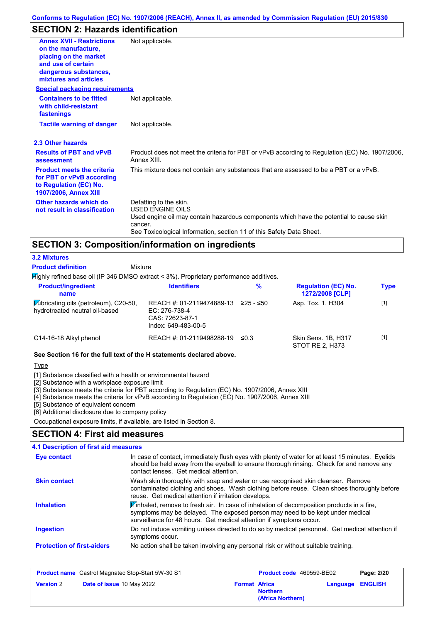## **SECTION 2: Hazards identification**

| <b>Annex XVII - Restrictions</b><br>on the manufacture.<br>placing on the market<br>and use of certain<br>dangerous substances,<br>mixtures and articles | Not applicable.                                                                                                                                                                                                          |
|----------------------------------------------------------------------------------------------------------------------------------------------------------|--------------------------------------------------------------------------------------------------------------------------------------------------------------------------------------------------------------------------|
| <b>Special packaging requirements</b>                                                                                                                    |                                                                                                                                                                                                                          |
| <b>Containers to be fitted</b><br>with child-resistant<br>fastenings                                                                                     | Not applicable.                                                                                                                                                                                                          |
| <b>Tactile warning of danger</b>                                                                                                                         | Not applicable.                                                                                                                                                                                                          |
| 2.3 Other hazards                                                                                                                                        |                                                                                                                                                                                                                          |
| <b>Results of PBT and vPvB</b><br>assessment                                                                                                             | Product does not meet the criteria for PBT or vPvB according to Regulation (EC) No. 1907/2006,<br>Annex XIII.                                                                                                            |
| <b>Product meets the criteria</b><br>for PBT or vPvB according<br>to Regulation (EC) No.<br><b>1907/2006, Annex XIII</b>                                 | This mixture does not contain any substances that are assessed to be a PBT or a vPvB.                                                                                                                                    |
| Other hazards which do<br>not result in classification                                                                                                   | Defatting to the skin.<br>USED ENGINE OILS<br>Used engine oil may contain hazardous components which have the potential to cause skin<br>cancer.<br>See Toxicological Information, section 11 of this Safety Data Sheet. |

## **SECTION 3: Composition/information on ingredients**

#### **Mixture 3.2 Mixtures Product definition**

**Highly refined base oil (IP 346 DMSO extract < 3%). Proprietary performance additives.** 

| <b>Product/ingredient</b><br>name                                       | <b>Identifiers</b>                                                                   | %          | <b>Regulation (EC) No.</b><br><b>1272/2008 [CLP]</b> | <b>Type</b> |
|-------------------------------------------------------------------------|--------------------------------------------------------------------------------------|------------|------------------------------------------------------|-------------|
| Lubricating oils (petroleum), C20-50,<br>hydrotreated neutral oil-based | REACH #: 01-2119474889-13<br>EC: 276-738-4<br>CAS: 72623-87-1<br>Index: 649-483-00-5 | 225 - ≤50  | Asp. Tox. 1, H304                                    | $[1]$       |
| C14-16-18 Alkyl phenol                                                  | REACH #: 01-2119498288-19                                                            | $\leq 0.3$ | Skin Sens. 1B, H317<br>STOT RE 2, H373               | $[1]$       |

#### **See Section 16 for the full text of the H statements declared above.**

#### Type

[1] Substance classified with a health or environmental hazard

[2] Substance with a workplace exposure limit

[3] Substance meets the criteria for PBT according to Regulation (EC) No. 1907/2006, Annex XIII

[4] Substance meets the criteria for vPvB according to Regulation (EC) No. 1907/2006, Annex XIII

[5] Substance of equivalent concern

[6] Additional disclosure due to company policy

Occupational exposure limits, if available, are listed in Section 8.

## **SECTION 4: First aid measures**

#### Do not induce vomiting unless directed to do so by medical personnel. Get medical attention if symptoms occur. In case of contact, immediately flush eyes with plenty of water for at least 15 minutes. Eyelids should be held away from the eyeball to ensure thorough rinsing. Check for and remove any contact lenses. Get medical attention. **4.1 Description of first aid measures**  $\mathbb F$ inhaled, remove to fresh air. In case of inhalation of decomposition products in a fire, symptoms may be delayed. The exposed person may need to be kept under medical surveillance for 48 hours. Get medical attention if symptoms occur. **Ingestion Inhalation Eye contact Protection of first-aiders** No action shall be taken involving any personal risk or without suitable training. **Skin contact** Wash skin thoroughly with soap and water or use recognised skin cleanser. Remove contaminated clothing and shoes. Wash clothing before reuse. Clean shoes thoroughly before reuse. Get medical attention if irritation develops.

|                  | <b>Product name</b> Castrol Magnatec Stop-Start 5W-30 S1 |                      | <b>Product code</b> 469559-BE02      | Page: 2/20              |
|------------------|----------------------------------------------------------|----------------------|--------------------------------------|-------------------------|
| <b>Version 2</b> | Date of issue 10 May 2022                                | <b>Format Africa</b> | <b>Northern</b><br>(Africa Northern) | <b>Language ENGLISH</b> |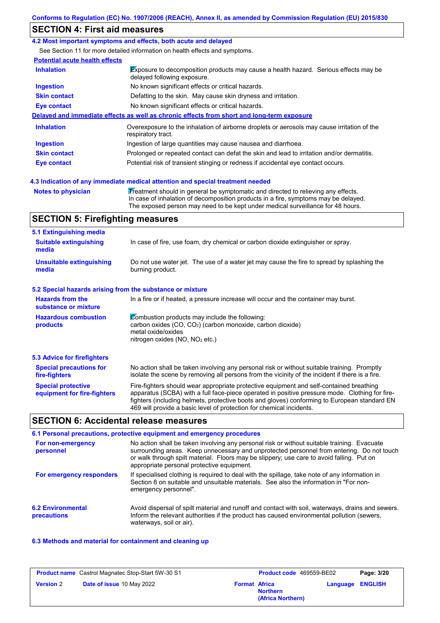## **SECTION 4: First aid measures**

#### **4.2 Most important symptoms and effects, both acute and delayed**

See Section 11 for more detailed information on health effects and symptoms.

#### **Potential acute health effects**

| <b>Inhalation</b>   | Exposure to decomposition products may cause a health hazard. Serious effects may be<br>delayed following exposure. |  |  |
|---------------------|---------------------------------------------------------------------------------------------------------------------|--|--|
| <b>Ingestion</b>    | No known significant effects or critical hazards.                                                                   |  |  |
| <b>Skin contact</b> | Defatting to the skin. May cause skin dryness and irritation.                                                       |  |  |
| <b>Eye contact</b>  | No known significant effects or critical hazards.                                                                   |  |  |
|                     | Delayed and immediate effects as well as chronic effects from short and long-term exposure                          |  |  |
| <b>Inhalation</b>   | Overexposure to the inhalation of airborne droplets or aerosols may cause irritation of the<br>respiratory tract.   |  |  |
|                     |                                                                                                                     |  |  |
| <b>Ingestion</b>    | Ingestion of large quantities may cause nausea and diarrhoea.                                                       |  |  |
| <b>Skin contact</b> | Prolonged or repeated contact can defat the skin and lead to irritation and/or dermatitis.                          |  |  |

**Notes to physician Treatment should in general be symptomatic and directed to relieving any effects.** In case of inhalation of decomposition products in a fire, symptoms may be delayed. The exposed person may need to be kept under medical surveillance for 48 hours.

### **SECTION 5: Firefighting measures**

| 5.1 Extinguishing media                                                                                                    |                                                                                                                                                                                                                                                                                                                                                                   |  |
|----------------------------------------------------------------------------------------------------------------------------|-------------------------------------------------------------------------------------------------------------------------------------------------------------------------------------------------------------------------------------------------------------------------------------------------------------------------------------------------------------------|--|
| In case of fire, use foam, dry chemical or carbon dioxide extinguisher or spray.<br><b>Suitable extinguishing</b><br>media |                                                                                                                                                                                                                                                                                                                                                                   |  |
| <b>Unsuitable extinguishing</b><br>media                                                                                   | Do not use water jet. The use of a water jet may cause the fire to spread by splashing the<br>burning product.                                                                                                                                                                                                                                                    |  |
| 5.2 Special hazards arising from the substance or mixture                                                                  |                                                                                                                                                                                                                                                                                                                                                                   |  |
| <b>Hazards from the</b><br>substance or mixture                                                                            | In a fire or if heated, a pressure increase will occur and the container may burst.                                                                                                                                                                                                                                                                               |  |
| <b>Hazardous combustion</b><br>products                                                                                    | Combustion products may include the following:<br>carbon oxides (CO, CO <sub>2</sub> ) (carbon monoxide, carbon dioxide)<br>metal oxide/oxides<br>nitrogen oxides ( $NO$ , $NO2$ etc.)                                                                                                                                                                            |  |
| 5.3 Advice for firefighters                                                                                                |                                                                                                                                                                                                                                                                                                                                                                   |  |
| <b>Special precautions for</b><br>fire-fighters                                                                            | No action shall be taken involving any personal risk or without suitable training. Promptly<br>isolate the scene by removing all persons from the vicinity of the incident if there is a fire.                                                                                                                                                                    |  |
| <b>Special protective</b><br>equipment for fire-fighters                                                                   | Fire-fighters should wear appropriate protective equipment and self-contained breathing<br>apparatus (SCBA) with a full face-piece operated in positive pressure mode. Clothing for fire-<br>fighters (including helmets, protective boots and gloves) conforming to European standard EN<br>469 will provide a basic level of protection for chemical incidents. |  |

#### **SECTION 6: Accidental release measures**

#### **6.2 Environmental precautions** Avoid dispersal of spilt material and runoff and contact with soil, waterways, drains and sewers. Inform the relevant authorities if the product has caused environmental pollution (sewers, waterways, soil or air). **6.1 Personal precautions, protective equipment and emergency procedures For non-emergency personnel For emergency responders** No action shall be taken involving any personal risk or without suitable training. Evacuate surrounding areas. Keep unnecessary and unprotected personnel from entering. Do not touch or walk through spilt material. Floors may be slippery; use care to avoid falling. Put on appropriate personal protective equipment. If specialised clothing is required to deal with the spillage, take note of any information in Section 8 on suitable and unsuitable materials. See also the information in "For nonemergency personnel".

#### **6.3 Methods and material for containment and cleaning up**

|                  | <b>Product name</b> Castrol Magnatec Stop-Start 5W-30 S1 |                      | Product code 469559-BE02             |                         | Page: 3/20 |
|------------------|----------------------------------------------------------|----------------------|--------------------------------------|-------------------------|------------|
| <b>Version 2</b> | <b>Date of issue 10 May 2022</b>                         | <b>Format Africa</b> | <b>Northern</b><br>(Africa Northern) | <b>Language ENGLISH</b> |            |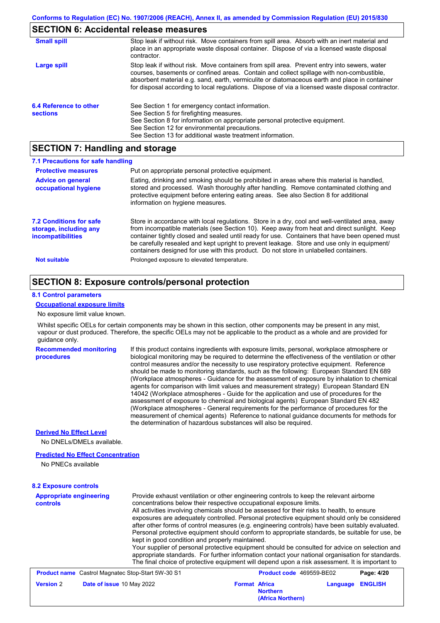## **SECTION 6: Accidental release measures**

| <b>Small spill</b>                        | Stop leak if without risk. Move containers from spill area. Absorb with an inert material and<br>place in an appropriate waste disposal container. Dispose of via a licensed waste disposal<br>contractor.                                                                                                                                                                                     |
|-------------------------------------------|------------------------------------------------------------------------------------------------------------------------------------------------------------------------------------------------------------------------------------------------------------------------------------------------------------------------------------------------------------------------------------------------|
| Large spill                               | Stop leak if without risk. Move containers from spill area. Prevent entry into sewers, water<br>courses, basements or confined areas. Contain and collect spillage with non-combustible,<br>absorbent material e.g. sand, earth, vermiculite or diatomaceous earth and place in container<br>for disposal according to local regulations. Dispose of via a licensed waste disposal contractor. |
| 6.4 Reference to other<br><b>sections</b> | See Section 1 for emergency contact information.<br>See Section 5 for firefighting measures.<br>See Section 8 for information on appropriate personal protective equipment.<br>See Section 12 for environmental precautions.<br>See Section 13 for additional waste treatment information.                                                                                                     |

## **SECTION 7: Handling and storage**

| 7.1 Precautions for safe handling                                                    |                                                                                                                                                                                                                                                                                                                                                                                                                                                                                          |
|--------------------------------------------------------------------------------------|------------------------------------------------------------------------------------------------------------------------------------------------------------------------------------------------------------------------------------------------------------------------------------------------------------------------------------------------------------------------------------------------------------------------------------------------------------------------------------------|
| <b>Protective measures</b>                                                           | Put on appropriate personal protective equipment.                                                                                                                                                                                                                                                                                                                                                                                                                                        |
| <b>Advice on general</b><br>occupational hygiene                                     | Eating, drinking and smoking should be prohibited in areas where this material is handled,<br>stored and processed. Wash thoroughly after handling. Remove contaminated clothing and<br>protective equipment before entering eating areas. See also Section 8 for additional<br>information on hygiene measures.                                                                                                                                                                         |
| <b>7.2 Conditions for safe</b><br>storage, including any<br><i>incompatibilities</i> | Store in accordance with local regulations. Store in a dry, cool and well-ventilated area, away<br>from incompatible materials (see Section 10). Keep away from heat and direct sunlight. Keep<br>container tightly closed and sealed until ready for use. Containers that have been opened must<br>be carefully resealed and kept upright to prevent leakage. Store and use only in equipment/<br>containers designed for use with this product. Do not store in unlabelled containers. |
| <b>Not suitable</b>                                                                  | Prolonged exposure to elevated temperature.                                                                                                                                                                                                                                                                                                                                                                                                                                              |

## **SECTION 8: Exposure controls/personal protection**

#### **8.1 Control parameters**

#### **Occupational exposure limits**

No exposure limit value known.

Whilst specific OELs for certain components may be shown in this section, other components may be present in any mist, vapour or dust produced. Therefore, the specific OELs may not be applicable to the product as a whole and are provided for guidance only.

**Recommended monitoring procedures**

If this product contains ingredients with exposure limits, personal, workplace atmosphere or biological monitoring may be required to determine the effectiveness of the ventilation or other control measures and/or the necessity to use respiratory protective equipment. Reference should be made to monitoring standards, such as the following: European Standard EN 689 (Workplace atmospheres - Guidance for the assessment of exposure by inhalation to chemical agents for comparison with limit values and measurement strategy) European Standard EN 14042 (Workplace atmospheres - Guide for the application and use of procedures for the assessment of exposure to chemical and biological agents) European Standard EN 482 (Workplace atmospheres - General requirements for the performance of procedures for the measurement of chemical agents) Reference to national guidance documents for methods for the determination of hazardous substances will also be required.

**(Africa Northern)**

#### **Derived No Effect Level**

No DNELs/DMELs available.

#### **Predicted No Effect Concentration**

No PNECs available

#### **8.2 Exposure controls**

| <b>Appropriate engineering</b><br><b>controls</b> | Provide exhaust ventilation or other engineering controls to keep the relevant airborne<br>concentrations below their respective occupational exposure limits.<br>All activities involving chemicals should be assessed for their risks to health, to ensure<br>exposures are adequately controlled. Personal protective equipment should only be considered<br>after other forms of control measures (e.g. engineering controls) have been suitably evaluated.<br>Personal protective equipment should conform to appropriate standards, be suitable for use, be<br>kept in good condition and properly maintained.<br>Your supplier of personal protective equipment should be consulted for advice on selection and<br>appropriate standards. For further information contact your national organisation for standards.<br>The final choice of protective equipment will depend upon a risk assessment. It is important to |                      |                          |          |                |
|---------------------------------------------------|-------------------------------------------------------------------------------------------------------------------------------------------------------------------------------------------------------------------------------------------------------------------------------------------------------------------------------------------------------------------------------------------------------------------------------------------------------------------------------------------------------------------------------------------------------------------------------------------------------------------------------------------------------------------------------------------------------------------------------------------------------------------------------------------------------------------------------------------------------------------------------------------------------------------------------|----------------------|--------------------------|----------|----------------|
|                                                   | <b>Product name</b> Castrol Magnatec Stop-Start 5W-30 S1                                                                                                                                                                                                                                                                                                                                                                                                                                                                                                                                                                                                                                                                                                                                                                                                                                                                      |                      | Product code 469559-BE02 |          | Page: 4/20     |
| <b>Version 2</b>                                  | Date of issue 10 May 2022                                                                                                                                                                                                                                                                                                                                                                                                                                                                                                                                                                                                                                                                                                                                                                                                                                                                                                     | <b>Format Africa</b> | <b>Northern</b>          | Language | <b>ENGLISH</b> |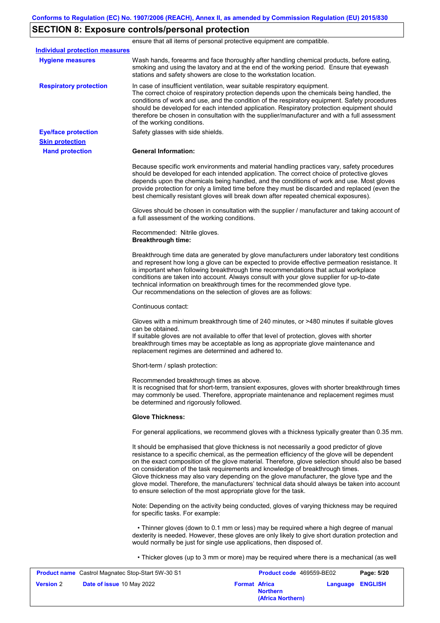# **SECTION 8: Exposure controls/personal protection**

ensure that all items of personal protective equipment are compatible.

| <b>Individual protection measures</b> |                                                                                                                                                                                                                                                                                                                                                                                                                                                                                                                                                                                                                                                   |
|---------------------------------------|---------------------------------------------------------------------------------------------------------------------------------------------------------------------------------------------------------------------------------------------------------------------------------------------------------------------------------------------------------------------------------------------------------------------------------------------------------------------------------------------------------------------------------------------------------------------------------------------------------------------------------------------------|
| <b>Hygiene measures</b>               | Wash hands, forearms and face thoroughly after handling chemical products, before eating,<br>smoking and using the lavatory and at the end of the working period. Ensure that eyewash<br>stations and safety showers are close to the workstation location.                                                                                                                                                                                                                                                                                                                                                                                       |
| <b>Respiratory protection</b>         | In case of insufficient ventilation, wear suitable respiratory equipment.<br>The correct choice of respiratory protection depends upon the chemicals being handled, the<br>conditions of work and use, and the condition of the respiratory equipment. Safety procedures<br>should be developed for each intended application. Respiratory protection equipment should<br>therefore be chosen in consultation with the supplier/manufacturer and with a full assessment<br>of the working conditions.                                                                                                                                             |
| <b>Eye/face protection</b>            | Safety glasses with side shields.                                                                                                                                                                                                                                                                                                                                                                                                                                                                                                                                                                                                                 |
| <b>Skin protection</b>                |                                                                                                                                                                                                                                                                                                                                                                                                                                                                                                                                                                                                                                                   |
| <b>Hand protection</b>                | <b>General Information:</b>                                                                                                                                                                                                                                                                                                                                                                                                                                                                                                                                                                                                                       |
|                                       | Because specific work environments and material handling practices vary, safety procedures<br>should be developed for each intended application. The correct choice of protective gloves<br>depends upon the chemicals being handled, and the conditions of work and use. Most gloves<br>provide protection for only a limited time before they must be discarded and replaced (even the<br>best chemically resistant gloves will break down after repeated chemical exposures).                                                                                                                                                                  |
|                                       | Gloves should be chosen in consultation with the supplier / manufacturer and taking account of<br>a full assessment of the working conditions.                                                                                                                                                                                                                                                                                                                                                                                                                                                                                                    |
|                                       | Recommended: Nitrile gloves.<br><b>Breakthrough time:</b>                                                                                                                                                                                                                                                                                                                                                                                                                                                                                                                                                                                         |
|                                       | Breakthrough time data are generated by glove manufacturers under laboratory test conditions<br>and represent how long a glove can be expected to provide effective permeation resistance. It<br>is important when following breakthrough time recommendations that actual workplace<br>conditions are taken into account. Always consult with your glove supplier for up-to-date<br>technical information on breakthrough times for the recommended glove type.<br>Our recommendations on the selection of gloves are as follows:                                                                                                                |
|                                       | Continuous contact:                                                                                                                                                                                                                                                                                                                                                                                                                                                                                                                                                                                                                               |
|                                       | Gloves with a minimum breakthrough time of 240 minutes, or >480 minutes if suitable gloves<br>can be obtained.<br>If suitable gloves are not available to offer that level of protection, gloves with shorter<br>breakthrough times may be acceptable as long as appropriate glove maintenance and<br>replacement regimes are determined and adhered to.                                                                                                                                                                                                                                                                                          |
|                                       | Short-term / splash protection:                                                                                                                                                                                                                                                                                                                                                                                                                                                                                                                                                                                                                   |
|                                       | Recommended breakthrough times as above.<br>It is recognised that for short-term, transient exposures, gloves with shorter breakthrough times<br>may commonly be used. Therefore, appropriate maintenance and replacement regimes must<br>be determined and rigorously followed.                                                                                                                                                                                                                                                                                                                                                                  |
|                                       | <b>Glove Thickness:</b>                                                                                                                                                                                                                                                                                                                                                                                                                                                                                                                                                                                                                           |
|                                       | For general applications, we recommend gloves with a thickness typically greater than 0.35 mm.                                                                                                                                                                                                                                                                                                                                                                                                                                                                                                                                                    |
|                                       | It should be emphasised that glove thickness is not necessarily a good predictor of glove<br>resistance to a specific chemical, as the permeation efficiency of the glove will be dependent<br>on the exact composition of the glove material. Therefore, glove selection should also be based<br>on consideration of the task requirements and knowledge of breakthrough times.<br>Glove thickness may also vary depending on the glove manufacturer, the glove type and the<br>glove model. Therefore, the manufacturers' technical data should always be taken into account<br>to ensure selection of the most appropriate glove for the task. |
|                                       | Note: Depending on the activity being conducted, gloves of varying thickness may be required<br>for specific tasks. For example:                                                                                                                                                                                                                                                                                                                                                                                                                                                                                                                  |
|                                       | • Thinner gloves (down to 0.1 mm or less) may be required where a high degree of manual<br>dexterity is needed. However, these gloves are only likely to give short duration protection and<br>would normally be just for single use applications, then disposed of.                                                                                                                                                                                                                                                                                                                                                                              |
|                                       | • Thicker gloves (up to 3 mm or more) may be required where there is a mechanical (as well                                                                                                                                                                                                                                                                                                                                                                                                                                                                                                                                                        |

| <b>Product name</b> Castrol Magnatec Stop-Start 5W-30 S1 |                      | <b>Product code</b> 469559-BE02      |                         | Page: 5/20 |
|----------------------------------------------------------|----------------------|--------------------------------------|-------------------------|------------|
| <b>Version 2</b><br><b>Date of issue 10 May 2022</b>     | <b>Format Africa</b> | <b>Northern</b><br>(Africa Northern) | <b>Language ENGLISH</b> |            |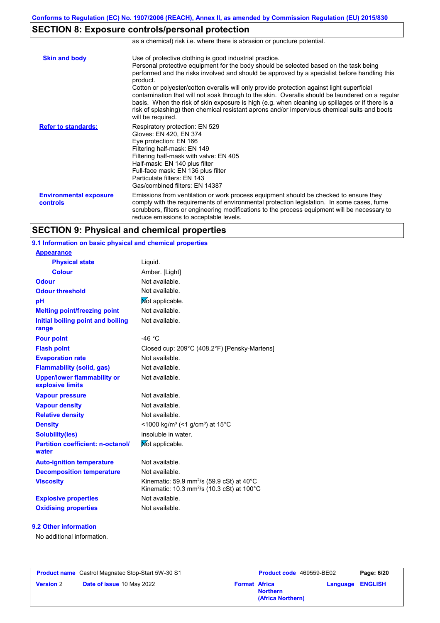as a chemical) risk i.e. where there is abrasion or puncture potential.

## **SECTION 8: Exposure controls/personal protection**

| <b>Skin and body</b>                      | Use of protective clothing is good industrial practice.<br>Personal protective equipment for the body should be selected based on the task being<br>performed and the risks involved and should be approved by a specialist before handling this<br>product.<br>Cotton or polyester/cotton overalls will only provide protection against light superficial<br>contamination that will not soak through to the skin. Overalls should be laundered on a regular<br>basis. When the risk of skin exposure is high (e.g. when cleaning up spillages or if there is a<br>risk of splashing) then chemical resistant aprons and/or impervious chemical suits and boots<br>will be required. |
|-------------------------------------------|---------------------------------------------------------------------------------------------------------------------------------------------------------------------------------------------------------------------------------------------------------------------------------------------------------------------------------------------------------------------------------------------------------------------------------------------------------------------------------------------------------------------------------------------------------------------------------------------------------------------------------------------------------------------------------------|
| <b>Refer to standards:</b>                | Respiratory protection: EN 529<br>Gloves: EN 420, EN 374<br>Eye protection: EN 166<br>Filtering half-mask: EN 149<br>Filtering half-mask with valve: EN 405<br>Half-mask: EN 140 plus filter<br>Full-face mask: EN 136 plus filter<br>Particulate filters: EN 143<br>Gas/combined filters: EN 14387                                                                                                                                                                                                                                                                                                                                                                                   |
| <b>Environmental exposure</b><br>controls | Emissions from ventilation or work process equipment should be checked to ensure they<br>comply with the requirements of environmental protection legislation. In some cases, fume<br>scrubbers, filters or engineering modifications to the process equipment will be necessary to<br>reduce emissions to acceptable levels.                                                                                                                                                                                                                                                                                                                                                         |

## **SECTION 9: Physical and chemical properties**

| 9.1 Information on basic physical and chemical properties |                                                                  |
|-----------------------------------------------------------|------------------------------------------------------------------|
| <b>Appearance</b>                                         |                                                                  |
| <b>Physical state</b>                                     | Liquid.                                                          |
| <b>Colour</b>                                             | Amber. [Light]                                                   |
| <b>Odour</b>                                              | Not available.                                                   |
| <b>Odour threshold</b>                                    | Not available.                                                   |
| pH                                                        | Not applicable.                                                  |
| <b>Melting point/freezing point</b>                       | Not available.                                                   |
| Initial boiling point and boiling<br>range                | Not available.                                                   |
| <b>Pour point</b>                                         | -46 $^{\circ}$ C                                                 |
| <b>Flash point</b>                                        | Closed cup: 209°C (408.2°F) [Pensky-Martens]                     |
| <b>Evaporation rate</b>                                   | Not available.                                                   |
| <b>Flammability (solid, gas)</b>                          | Not available.                                                   |
| <b>Upper/lower flammability or</b><br>explosive limits    | Not available.                                                   |
| <b>Vapour pressure</b>                                    | Not available.                                                   |
| <b>Vapour density</b>                                     | Not available.                                                   |
| <b>Relative density</b>                                   | Not available.                                                   |
| <b>Density</b>                                            | <1000 kg/m <sup>3</sup> (<1 g/cm <sup>3</sup> ) at 15°C          |
| <b>Solubility(ies)</b>                                    | insoluble in water.                                              |
| <b>Partition coefficient: n-octanol/</b><br>water         | Not applicable.                                                  |
| <b>Auto-ignition temperature</b>                          | Not available.                                                   |
| <b>Decomposition temperature</b>                          | Not available.                                                   |
| <b>Viscosity</b>                                          | Kinematic: 59.9 mm <sup>2</sup> /s (59.9 cSt) at 40 $^{\circ}$ C |
|                                                           | Kinematic: 10.3 mm <sup>2</sup> /s (10.3 cSt) at 100°C           |
| <b>Explosive properties</b>                               | Not available.                                                   |

#### **9.2 Other information**

No additional information.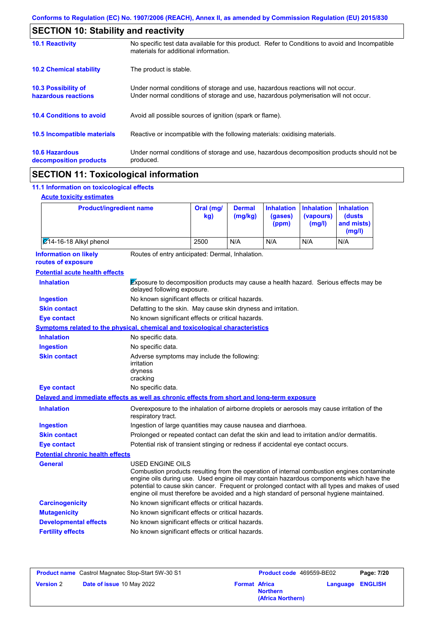| <b>SECTION 10: Stability and reactivity</b>       |                                                                                                                                                                         |
|---------------------------------------------------|-------------------------------------------------------------------------------------------------------------------------------------------------------------------------|
| <b>10.1 Reactivity</b>                            | No specific test data available for this product. Refer to Conditions to avoid and Incompatible<br>materials for additional information.                                |
| <b>10.2 Chemical stability</b>                    | The product is stable.                                                                                                                                                  |
| <b>10.3 Possibility of</b><br>hazardous reactions | Under normal conditions of storage and use, hazardous reactions will not occur.<br>Under normal conditions of storage and use, hazardous polymerisation will not occur. |
| <b>10.4 Conditions to avoid</b>                   | Avoid all possible sources of ignition (spark or flame).                                                                                                                |
| 10.5 Incompatible materials                       | Reactive or incompatible with the following materials: oxidising materials.                                                                                             |
| <b>10.6 Hazardous</b><br>decomposition products   | Under normal conditions of storage and use, hazardous decomposition products should not be<br>produced.                                                                 |
|                                                   |                                                                                                                                                                         |

## **SECTION 11: Toxicological information**

## **11.1 Information on toxicological effects**

| <b>Product/ingredient name</b>                                                             |                                                                                                                                                                                                                                                                                                                                                                                                                 | kg)  | (mg/kg) | (gases)<br>(ppm) | (vapours)<br>(mg/l) | (dusts<br>and mists)<br>(mg/l) |
|--------------------------------------------------------------------------------------------|-----------------------------------------------------------------------------------------------------------------------------------------------------------------------------------------------------------------------------------------------------------------------------------------------------------------------------------------------------------------------------------------------------------------|------|---------|------------------|---------------------|--------------------------------|
| 214-16-18 Alkyl phenol                                                                     |                                                                                                                                                                                                                                                                                                                                                                                                                 | 2500 | N/A     | N/A              | N/A                 | N/A                            |
| <b>Information on likely</b><br>routes of exposure                                         | Routes of entry anticipated: Dermal, Inhalation.                                                                                                                                                                                                                                                                                                                                                                |      |         |                  |                     |                                |
| <b>Potential acute health effects</b>                                                      |                                                                                                                                                                                                                                                                                                                                                                                                                 |      |         |                  |                     |                                |
| <b>Inhalation</b>                                                                          | Exposure to decomposition products may cause a health hazard. Serious effects may be<br>delayed following exposure.                                                                                                                                                                                                                                                                                             |      |         |                  |                     |                                |
| <b>Ingestion</b>                                                                           | No known significant effects or critical hazards.                                                                                                                                                                                                                                                                                                                                                               |      |         |                  |                     |                                |
| <b>Skin contact</b>                                                                        | Defatting to the skin. May cause skin dryness and irritation.                                                                                                                                                                                                                                                                                                                                                   |      |         |                  |                     |                                |
| <b>Eye contact</b>                                                                         | No known significant effects or critical hazards.                                                                                                                                                                                                                                                                                                                                                               |      |         |                  |                     |                                |
| Symptoms related to the physical, chemical and toxicological characteristics               |                                                                                                                                                                                                                                                                                                                                                                                                                 |      |         |                  |                     |                                |
| <b>Inhalation</b>                                                                          | No specific data.                                                                                                                                                                                                                                                                                                                                                                                               |      |         |                  |                     |                                |
| <b>Ingestion</b>                                                                           | No specific data.                                                                                                                                                                                                                                                                                                                                                                                               |      |         |                  |                     |                                |
| <b>Skin contact</b>                                                                        | Adverse symptoms may include the following:<br>irritation<br>dryness<br>cracking                                                                                                                                                                                                                                                                                                                                |      |         |                  |                     |                                |
| <b>Eye contact</b>                                                                         | No specific data.                                                                                                                                                                                                                                                                                                                                                                                               |      |         |                  |                     |                                |
| Delayed and immediate effects as well as chronic effects from short and long-term exposure |                                                                                                                                                                                                                                                                                                                                                                                                                 |      |         |                  |                     |                                |
| <b>Inhalation</b>                                                                          | Overexposure to the inhalation of airborne droplets or aerosols may cause irritation of the<br>respiratory tract.                                                                                                                                                                                                                                                                                               |      |         |                  |                     |                                |
| <b>Ingestion</b>                                                                           | Ingestion of large quantities may cause nausea and diarrhoea.                                                                                                                                                                                                                                                                                                                                                   |      |         |                  |                     |                                |
| <b>Skin contact</b>                                                                        | Prolonged or repeated contact can defat the skin and lead to irritation and/or dermatitis.                                                                                                                                                                                                                                                                                                                      |      |         |                  |                     |                                |
| <b>Eye contact</b>                                                                         | Potential risk of transient stinging or redness if accidental eye contact occurs.                                                                                                                                                                                                                                                                                                                               |      |         |                  |                     |                                |
| <b>Potential chronic health effects</b>                                                    |                                                                                                                                                                                                                                                                                                                                                                                                                 |      |         |                  |                     |                                |
| <b>General</b>                                                                             | <b>USED ENGINE OILS</b><br>Combustion products resulting from the operation of internal combustion engines contaminate<br>engine oils during use. Used engine oil may contain hazardous components which have the<br>potential to cause skin cancer. Frequent or prolonged contact with all types and makes of used<br>engine oil must therefore be avoided and a high standard of personal hygiene maintained. |      |         |                  |                     |                                |
| <b>Carcinogenicity</b>                                                                     | No known significant effects or critical hazards.                                                                                                                                                                                                                                                                                                                                                               |      |         |                  |                     |                                |
| <b>Mutagenicity</b>                                                                        | No known significant effects or critical hazards.                                                                                                                                                                                                                                                                                                                                                               |      |         |                  |                     |                                |

**Developmental effects** No known significant effects or critical hazards.

**Fertility effects** No known significant effects or critical hazards.

| <b>Product name</b> Castrol Magnatec Stop-Start 5W-30 S1 |                           | <b>Product code</b> 469559-BE02 |                                      | Page: 7/20              |  |
|----------------------------------------------------------|---------------------------|---------------------------------|--------------------------------------|-------------------------|--|
| <b>Version 2</b>                                         | Date of issue 10 May 2022 | <b>Format Africa</b>            | <b>Northern</b><br>(Africa Northern) | <b>Language ENGLISH</b> |  |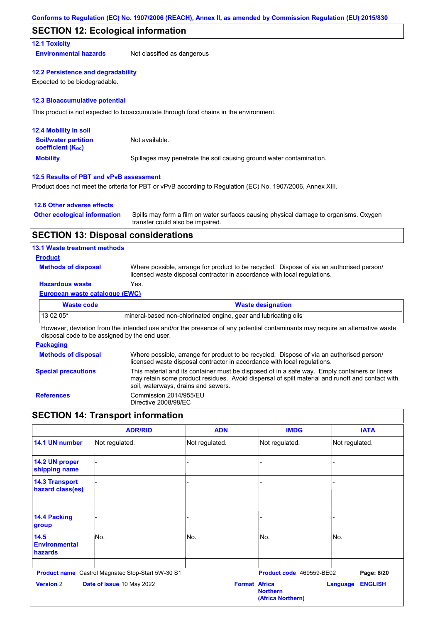#### **SECTION 12: Ecological information**

#### **12.1 Toxicity**

**Environmental hazards** Not classified as dangerous

#### **12.2 Persistence and degradability**

Expected to be biodegradable.

#### **12.3 Bioaccumulative potential**

This product is not expected to bioaccumulate through food chains in the environment.

| <b>12.4 Mobility in soil</b>                                  |                                                                      |
|---------------------------------------------------------------|----------------------------------------------------------------------|
| <b>Soil/water partition</b><br>coefficient (K <sub>oc</sub> ) | Not available.                                                       |
| <b>Mobility</b>                                               | Spillages may penetrate the soil causing ground water contamination. |

#### **12.5 Results of PBT and vPvB assessment**

Product does not meet the criteria for PBT or vPvB according to Regulation (EC) No. 1907/2006, Annex XIII.

#### **12.6 Other adverse effects**

| <b>Other ecological information</b> | Spills may form a film on water surfaces causing physical damage to organisms. Oxygen |
|-------------------------------------|---------------------------------------------------------------------------------------|
|                                     | transfer could also be impaired.                                                      |

#### **SECTION 13: Disposal considerations**

#### **13.1 Waste treatment methods**

#### **Product**

**Methods of disposal**

Where possible, arrange for product to be recycled. Dispose of via an authorised person/ licensed waste disposal contractor in accordance with local regulations.

#### **Hazardous waste** Yes.

#### **European waste catalogue (EWC)**

| Waste code | <b>Waste designation</b>                                         |
|------------|------------------------------------------------------------------|
| $130205*$  | Imineral-based non-chlorinated engine, gear and lubricating oils |

However, deviation from the intended use and/or the presence of any potential contaminants may require an alternative waste disposal code to be assigned by the end user.

#### **Packaging**

| <b>Methods of disposal</b> | Where possible, arrange for product to be recycled. Dispose of via an authorised person/<br>licensed waste disposal contractor in accordance with local regulations.                                                                    |
|----------------------------|-----------------------------------------------------------------------------------------------------------------------------------------------------------------------------------------------------------------------------------------|
| <b>Special precautions</b> | This material and its container must be disposed of in a safe way. Empty containers or liners<br>may retain some product residues. Avoid dispersal of spilt material and runoff and contact with<br>soil, waterways, drains and sewers. |
| <b>References</b>          | Commission 2014/955/EU<br>Directive 2008/98/EC                                                                                                                                                                                          |

## **SECTION 14: Transport information**

|                                           | <b>ADR/RID</b>                                           | <b>ADN</b>           | <b>IMDG</b>                          | <b>IATA</b>                       |
|-------------------------------------------|----------------------------------------------------------|----------------------|--------------------------------------|-----------------------------------|
| 14.1 UN number                            | Not regulated.                                           | Not regulated.       | Not regulated.                       | Not regulated.                    |
| 14.2 UN proper<br>shipping name           |                                                          |                      |                                      |                                   |
| <b>14.3 Transport</b><br>hazard class(es) |                                                          |                      |                                      |                                   |
| 14.4 Packing<br>group                     |                                                          |                      |                                      |                                   |
| 14.5<br><b>Environmental</b><br>hazards   | No.                                                      | No.                  | No.                                  | No.                               |
|                                           | <b>Product name</b> Castrol Magnatec Stop-Start 5W-30 S1 |                      | Product code 469559-BE02             | Page: 8/20                        |
| <b>Version 2</b>                          | Date of issue 10 May 2022                                | <b>Format Africa</b> | <b>Northern</b><br>(Africa Northern) | <b>ENGLISH</b><br><b>Language</b> |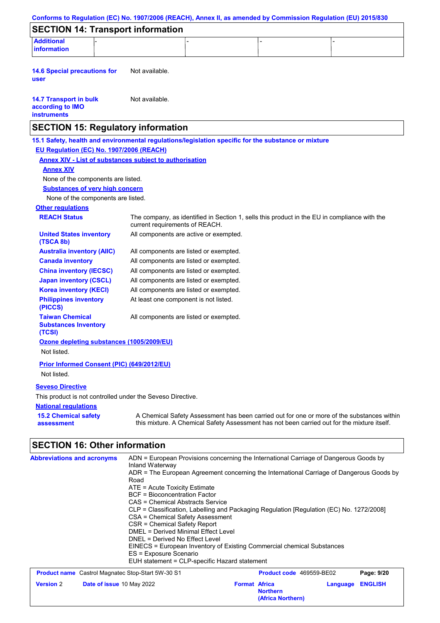|                                                                                                                                                                                                                   |                                                                                                                                                                                                                                                                                                                                                                            |                                                                        | Conforms to Regulation (EC) No. 1907/2006 (REACH), Annex II, as amended by Commission Regulation (EU) 2015/830                                                                                                                                                                |
|-------------------------------------------------------------------------------------------------------------------------------------------------------------------------------------------------------------------|----------------------------------------------------------------------------------------------------------------------------------------------------------------------------------------------------------------------------------------------------------------------------------------------------------------------------------------------------------------------------|------------------------------------------------------------------------|-------------------------------------------------------------------------------------------------------------------------------------------------------------------------------------------------------------------------------------------------------------------------------|
| <b>SECTION 14: Transport information</b>                                                                                                                                                                          |                                                                                                                                                                                                                                                                                                                                                                            |                                                                        |                                                                                                                                                                                                                                                                               |
| <b>Additional</b><br>information                                                                                                                                                                                  |                                                                                                                                                                                                                                                                                                                                                                            |                                                                        |                                                                                                                                                                                                                                                                               |
| <b>14.6 Special precautions for</b><br>user                                                                                                                                                                       | Not available.                                                                                                                                                                                                                                                                                                                                                             |                                                                        |                                                                                                                                                                                                                                                                               |
| <b>14.7 Transport in bulk</b><br>according to IMO<br><b>instruments</b>                                                                                                                                           | Not available.                                                                                                                                                                                                                                                                                                                                                             |                                                                        |                                                                                                                                                                                                                                                                               |
| <b>SECTION 15: Regulatory information</b>                                                                                                                                                                         |                                                                                                                                                                                                                                                                                                                                                                            |                                                                        |                                                                                                                                                                                                                                                                               |
| 15.1 Safety, health and environmental regulations/legislation specific for the substance or mixture<br>EU Regulation (EC) No. 1907/2006 (REACH)<br><b>Annex XIV - List of substances subject to authorisation</b> |                                                                                                                                                                                                                                                                                                                                                                            |                                                                        |                                                                                                                                                                                                                                                                               |
| <b>Annex XIV</b>                                                                                                                                                                                                  |                                                                                                                                                                                                                                                                                                                                                                            |                                                                        |                                                                                                                                                                                                                                                                               |
| None of the components are listed.                                                                                                                                                                                |                                                                                                                                                                                                                                                                                                                                                                            |                                                                        |                                                                                                                                                                                                                                                                               |
| <b>Substances of very high concern</b>                                                                                                                                                                            |                                                                                                                                                                                                                                                                                                                                                                            |                                                                        |                                                                                                                                                                                                                                                                               |
| None of the components are listed.                                                                                                                                                                                |                                                                                                                                                                                                                                                                                                                                                                            |                                                                        |                                                                                                                                                                                                                                                                               |
| <b>Other regulations</b>                                                                                                                                                                                          |                                                                                                                                                                                                                                                                                                                                                                            |                                                                        |                                                                                                                                                                                                                                                                               |
| <b>REACH Status</b>                                                                                                                                                                                               | current requirements of REACH.                                                                                                                                                                                                                                                                                                                                             |                                                                        | The company, as identified in Section 1, sells this product in the EU in compliance with the                                                                                                                                                                                  |
| <b>United States inventory</b><br>(TSCA 8b)                                                                                                                                                                       | All components are active or exempted.                                                                                                                                                                                                                                                                                                                                     |                                                                        |                                                                                                                                                                                                                                                                               |
| <b>Australia inventory (AIIC)</b>                                                                                                                                                                                 | All components are listed or exempted.                                                                                                                                                                                                                                                                                                                                     |                                                                        |                                                                                                                                                                                                                                                                               |
| <b>Canada inventory</b>                                                                                                                                                                                           | All components are listed or exempted.                                                                                                                                                                                                                                                                                                                                     |                                                                        |                                                                                                                                                                                                                                                                               |
| <b>China inventory (IECSC)</b>                                                                                                                                                                                    | All components are listed or exempted.                                                                                                                                                                                                                                                                                                                                     |                                                                        |                                                                                                                                                                                                                                                                               |
| <b>Japan inventory (CSCL)</b>                                                                                                                                                                                     | All components are listed or exempted.                                                                                                                                                                                                                                                                                                                                     |                                                                        |                                                                                                                                                                                                                                                                               |
| <b>Korea inventory (KECI)</b><br><b>Philippines inventory</b><br>(PICCS)                                                                                                                                          | All components are listed or exempted.<br>At least one component is not listed.                                                                                                                                                                                                                                                                                            |                                                                        |                                                                                                                                                                                                                                                                               |
| <b>Taiwan Chemical</b><br><b>Substances Inventory</b><br>(TCSI)                                                                                                                                                   | All components are listed or exempted.                                                                                                                                                                                                                                                                                                                                     |                                                                        |                                                                                                                                                                                                                                                                               |
| Ozone depleting substances (1005/2009/EU)<br>Not listed.                                                                                                                                                          |                                                                                                                                                                                                                                                                                                                                                                            |                                                                        |                                                                                                                                                                                                                                                                               |
| Prior Informed Consent (PIC) (649/2012/EU)<br>Not listed.                                                                                                                                                         |                                                                                                                                                                                                                                                                                                                                                                            |                                                                        |                                                                                                                                                                                                                                                                               |
| <b>Seveso Directive</b>                                                                                                                                                                                           |                                                                                                                                                                                                                                                                                                                                                                            |                                                                        |                                                                                                                                                                                                                                                                               |
| This product is not controlled under the Seveso Directive.                                                                                                                                                        |                                                                                                                                                                                                                                                                                                                                                                            |                                                                        |                                                                                                                                                                                                                                                                               |
| <b>National regulations</b>                                                                                                                                                                                       |                                                                                                                                                                                                                                                                                                                                                                            |                                                                        |                                                                                                                                                                                                                                                                               |
| <b>15.2 Chemical safety</b><br>assessment                                                                                                                                                                         |                                                                                                                                                                                                                                                                                                                                                                            |                                                                        | A Chemical Safety Assessment has been carried out for one or more of the substances within<br>this mixture. A Chemical Safety Assessment has not been carried out for the mixture itself.                                                                                     |
| <b>SECTION 16: Other information</b>                                                                                                                                                                              |                                                                                                                                                                                                                                                                                                                                                                            |                                                                        |                                                                                                                                                                                                                                                                               |
| <b>Abbreviations and acronyms</b>                                                                                                                                                                                 | Inland Waterway<br>Road<br>ATE = Acute Toxicity Estimate<br>BCF = Bioconcentration Factor<br><b>CAS = Chemical Abstracts Service</b><br>CSA = Chemical Safety Assessment<br><b>CSR = Chemical Safety Report</b><br><b>DMEL = Derived Minimal Effect Level</b><br>DNEL = Derived No Effect Level<br>ES = Exposure Scenario<br>EUH statement = CLP-specific Hazard statement | EINECS = European Inventory of Existing Commercial chemical Substances | ADN = European Provisions concerning the International Carriage of Dangerous Goods by<br>ADR = The European Agreement concerning the International Carriage of Dangerous Goods by<br>CLP = Classification, Labelling and Packaging Regulation [Regulation (EC) No. 1272/2008] |
| Product name Castrol Magnatec Stop-Start 5W-30 S1                                                                                                                                                                 |                                                                                                                                                                                                                                                                                                                                                                            |                                                                        | Product code 469559-BE02<br>Page: 9/20                                                                                                                                                                                                                                        |
| <b>Version 2</b><br>Date of issue 10 May 2022                                                                                                                                                                     |                                                                                                                                                                                                                                                                                                                                                                            | <b>Format Africa</b><br><b>Northern</b><br>(Africa Northern)           | <b>ENGLISH</b><br>Language                                                                                                                                                                                                                                                    |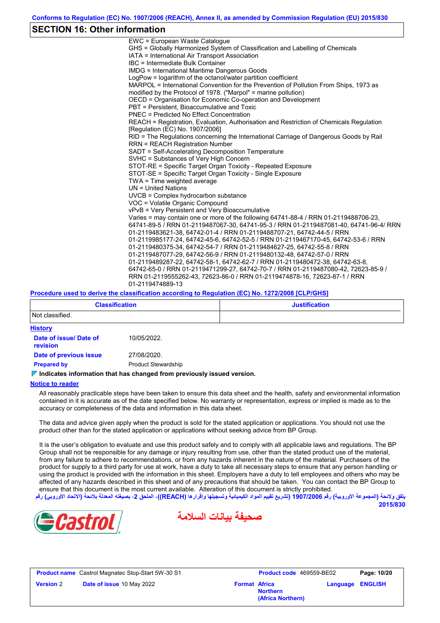## **SECTION 16: Other information**

| EWC = European Waste Cataloque                                                                                                                                                                                                    |
|-----------------------------------------------------------------------------------------------------------------------------------------------------------------------------------------------------------------------------------|
| GHS = Globally Harmonized System of Classification and Labelling of Chemicals                                                                                                                                                     |
| IATA = International Air Transport Association                                                                                                                                                                                    |
| IBC = Intermediate Bulk Container                                                                                                                                                                                                 |
| <b>IMDG</b> = International Maritime Dangerous Goods                                                                                                                                                                              |
| LogPow = logarithm of the octanol/water partition coefficient                                                                                                                                                                     |
| MARPOL = International Convention for the Prevention of Pollution From Ships, 1973 as                                                                                                                                             |
| modified by the Protocol of 1978. ("Marpol" = marine pollution)                                                                                                                                                                   |
| OECD = Organisation for Economic Co-operation and Development                                                                                                                                                                     |
| PBT = Persistent, Bioaccumulative and Toxic                                                                                                                                                                                       |
| <b>PNEC = Predicted No Effect Concentration</b>                                                                                                                                                                                   |
| REACH = Registration, Evaluation, Authorisation and Restriction of Chemicals Regulation<br>[Regulation (EC) No. 1907/2006]                                                                                                        |
| RID = The Regulations concerning the International Carriage of Dangerous Goods by Rail<br><b>RRN = REACH Registration Number</b>                                                                                                  |
| SADT = Self-Accelerating Decomposition Temperature                                                                                                                                                                                |
| SVHC = Substances of Very High Concern                                                                                                                                                                                            |
| STOT-RE = Specific Target Organ Toxicity - Repeated Exposure                                                                                                                                                                      |
| STOT-SE = Specific Target Organ Toxicity - Single Exposure                                                                                                                                                                        |
| $TWA = Time weighted average$                                                                                                                                                                                                     |
| $UN = United Nations$                                                                                                                                                                                                             |
| UVCB = Complex hydrocarbon substance                                                                                                                                                                                              |
| VOC = Volatile Organic Compound                                                                                                                                                                                                   |
| vPvB = Very Persistent and Very Bioaccumulative                                                                                                                                                                                   |
| Varies = may contain one or more of the following 64741-88-4 / RRN 01-2119488706-23,                                                                                                                                              |
| 64741-89-5 / RRN 01-2119487067-30, 64741-95-3 / RRN 01-2119487081-40, 64741-96-4/ RRN                                                                                                                                             |
| 01-2119483621-38, 64742-01-4 / RRN 01-2119488707-21, 64742-44-5 / RRN                                                                                                                                                             |
| 01-2119985177-24, 64742-45-6, 64742-52-5 / RRN 01-2119467170-45, 64742-53-6 / RRN                                                                                                                                                 |
| 01-2119480375-34, 64742-54-7 / RRN 01-2119484627-25, 64742-55-8 / RRN                                                                                                                                                             |
| 01-2119487077-29, 64742-56-9 / RRN 01-2119480132-48, 64742-57-0 / RRN                                                                                                                                                             |
| 01-2119489287-22, 64742-58-1, 64742-62-7 / RRN 01-2119480472-38, 64742-63-8,                                                                                                                                                      |
| 64742-65-0 / RRN 01-2119471299-27, 64742-70-7 / RRN 01-2119487080-42, 72623-85-9 /                                                                                                                                                |
| RRN 01-2119555262-43, 72623-86-0 / RRN 01-2119474878-16, 72623-87-1 / RRN                                                                                                                                                         |
| 01-2119474889-13                                                                                                                                                                                                                  |
| $\mathbf{r}$ . The contract of the contract of the contract of the contract of the contract of the contract of the contract of the contract of the contract of the contract of the contract of the contract of the contract of th |

#### **Procedure used to derive the classification according to Regulation (EC) No. 1272/2008 [CLP/GHS]**

| <b>Classification</b>              |                            | <b>Justification</b> |
|------------------------------------|----------------------------|----------------------|
| Not classified.                    |                            |                      |
| <b>History</b>                     |                            |                      |
| Date of issue/ Date of<br>revision | 10/05/2022.                |                      |
| Date of previous issue             | 27/08/2020.                |                      |
| <b>Prepared by</b>                 | <b>Product Stewardship</b> |                      |

#### **Indicates information that has changed from previously issued version.**

#### **Notice to reader**

All reasonably practicable steps have been taken to ensure this data sheet and the health, safety and environmental information contained in it is accurate as of the date specified below. No warranty or representation, express or implied is made as to the accuracy or completeness of the data and information in this data sheet.

The data and advice given apply when the product is sold for the stated application or applications. You should not use the product other than for the stated application or applications without seeking advice from BP Group.

It is the user's obligation to evaluate and use this product safely and to comply with all applicable laws and regulations. The BP Group shall not be responsible for any damage or injury resulting from use, other than the stated product use of the material, from any failure to adhere to recommendations, or from any hazards inherent in the nature of the material. Purchasers of the product for supply to a third party for use at work, have a duty to take all necessary steps to ensure that any person handling or using the product is provided with the information in this sheet. Employers have a duty to tell employees and others who may be affected of any hazards described in this sheet and of any precautions that should be taken. You can contact the BP Group to ensure that this document is the most current available. Alteration of this document is strictly prohibited.

**یتفق ولائحة (المجموعة الأوروبیة) رقم 1907/2006 (تشریع تقییم المواد الكیمیائیة وتسجیلھا وإقرارھا (REACH((، الملحق ،2 بصیغتھ المعدلة بلائحة (الاتحاد الأوروبي) رقم 2015/830**





**Product name** Castrol Magnatec Stop-Start 5W-30 S1 **Product Code** 469559-BE02 **Page: 10/20 Version** 2 **Date of issue** 10 May 2022 **Format** Africa

**Northern Language ENGLISH**

**(Africa Northern)**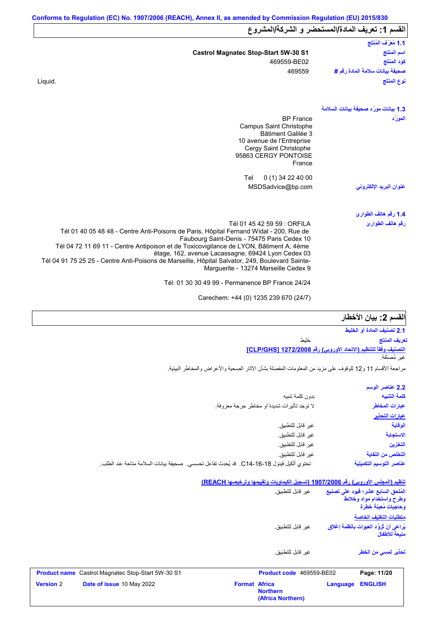| القسم 1: تعريف المادة/المستحضر و الشركة/المشروع |                                                                                                                                         |  |  |
|-------------------------------------------------|-----------------------------------------------------------------------------------------------------------------------------------------|--|--|
| 1.1 مُعرَّف المُنتَج                            |                                                                                                                                         |  |  |
| اسم المنتج                                      | <b>Castrol Magnatec Stop-Start 5W-30 S1</b>                                                                                             |  |  |
| كود المنتج                                      | 469559-BE02                                                                                                                             |  |  |
| صحيفة بيانات سلامة المادة رفم #                 | 469559                                                                                                                                  |  |  |
| نوع المنتَج                                     | Liquid.                                                                                                                                 |  |  |
| 1.3 بيانات مورّد صحيفة بيانات السلامة           |                                                                                                                                         |  |  |
| المورّد                                         | <b>BP</b> France                                                                                                                        |  |  |
|                                                 | Campus Saint Christophe<br>Bâtiment Galilée 3                                                                                           |  |  |
|                                                 | 10 avenue de l'Entreprise                                                                                                               |  |  |
|                                                 | Cergy Saint Christophe<br>95863 CERGY PONTOISE                                                                                          |  |  |
|                                                 | France                                                                                                                                  |  |  |
|                                                 | Tel<br>0 (1) 34 22 40 00                                                                                                                |  |  |
| عنوان البريد الإلكترون <i>ى</i>                 | MSDSadvice@bp.com                                                                                                                       |  |  |
| 1.4 رقم هاتف الطوارئ                            |                                                                                                                                         |  |  |
| رقم هاتف الطوارئ                                | Tél 01 45 42 59 59 : ORFILA                                                                                                             |  |  |
|                                                 | Tél 01 40 05 48 48 - Centre Anti-Poisons de Paris, Hôpital Fernand Widal - 200, Rue de<br>Faubourg Saint-Denis - 75475 Paris Cedex 10   |  |  |
|                                                 | Tél 04 72 11 69 11 - Centre Antipoison et de Toxicovigilance de LYON, Bâtiment A, 4ème                                                  |  |  |
|                                                 | étage, 162, avenue Lacassagne, 69424 Lyon Cedex 03                                                                                      |  |  |
|                                                 | Tél 04 91 75 25 25 - Centre Anti-Poisons de Marseille, Hôpital Salvator, 249, Boulevard Sainte-<br>Marguerite - 13274 Marseille Cedex 9 |  |  |
|                                                 | Tél: 01 30 30 49 99 - Permanence BP France 24/24                                                                                        |  |  |
|                                                 |                                                                                                                                         |  |  |

Carechem: +44 (0) 1235 239 670 (24/7)

## الق*س*م **2:** بيان الأخطار

|                                                                         | 2.1 تصنيف المادة أو الخليط |
|-------------------------------------------------------------------------|----------------------------|
| خلىط                                                                    | تعريف المنتج               |
| <u>التصنيف وفقاً للتنظيم (الاتحاد الأوروبي) رفّع CLP/GHS] 1272/2008</u> |                            |
|                                                                         | غبر مُصنَّفة.              |

مراجعة الأقسام 11 و12 للوقوف على مزید من المعلومات المفصلة بشأن الآثار الصحیة والأعراض والمخاطر البیئیة.

|                                                                                           | 2.2 عناصر الوسم         |
|-------------------------------------------------------------------------------------------|-------------------------|
| بدون كلمة تنبيه                                                                           | كلمة التنبيه            |
| لا توجد تأثيرات شديدة أو مخاطر حرجة معروفة.                                               | عبارات المخاطر          |
|                                                                                           | عبارات التحذير          |
| غير قابل للتطبيق.                                                                         | الوقاية                 |
| غير قابل للتطبيق.                                                                         | الاستجابة               |
| غير قابل للتطبيق.                                                                         | التخزين                 |
| غير قابل للتطبيق.                                                                         | التخلص من النفاية       |
| تحتوي ألكيل فينول 18-16-14_. قد يُحدِث تفاعل تحسسي. صحيفة بيانات السلامة متاحة عند الطلب. | عناصر التوسيم التكميلية |

#### **تنظیم (المجلس الأوروبي) رقم 1907/2006 (تسجیل الكیماویات وتقییمھا وترخیصھا REACH(**

**(Africa Northern)**

| <b>Version 2</b> | Date of issue 10 May 2022                                | <b>Format Africa</b> | <b>Northern</b>          | Language | <b>ENGLISH</b>                                                                                                   |  |  |
|------------------|----------------------------------------------------------|----------------------|--------------------------|----------|------------------------------------------------------------------------------------------------------------------|--|--|
|                  | <b>Product name</b> Castrol Magnatec Stop-Start 5W-30 S1 |                      | Product code 469559-BE02 |          | Page: 11/20                                                                                                      |  |  |
|                  |                                                          |                      | غبر قابل للتطبيق.        |          | تحذير لمسى من الخطر                                                                                              |  |  |
|                  |                                                          |                      | غير  قابل للتطبيق.       |          | يُراعى أن تُزوَّد العبوات بأنظمة إغلاق<br>منبعة للأطفال                                                          |  |  |
|                  |                                                          |                      | غير  قابل للتطبيق.       |          | المُلحق السابع عشر؛ فيود على تصنيع<br>وطرح واستخدام مواد وخلائط<br>وحاجبات مُعبنة خطرة<br>متطلبات التغليف الخاصة |  |  |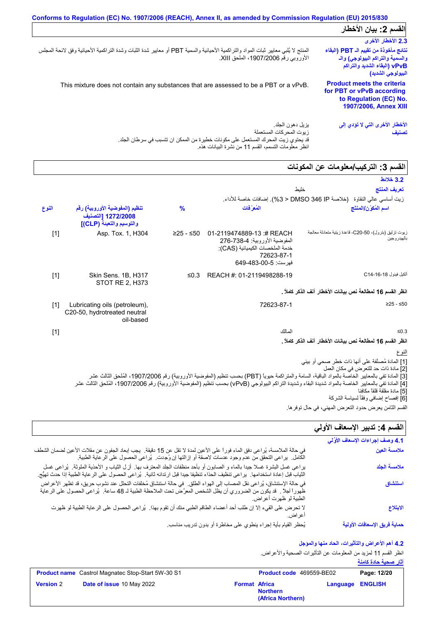|                                                                                                                                  | Conforms to Regulation (EC) No. 1907/2006 (REACH), Annex II, as amended by Commission Regulation (EU) 2015/830                                                             |
|----------------------------------------------------------------------------------------------------------------------------------|----------------------------------------------------------------------------------------------------------------------------------------------------------------------------|
| القسم 2: بيان الأخطار                                                                                                            |                                                                                                                                                                            |
| 2.3 الأخطار الأخرى                                                                                                               |                                                                                                                                                                            |
| نتائج مأخوذة من تقييم الـ PBT (البقاء<br>والسمية والتراكم البيولوجي) والـ<br>vPvB (البقاء الشديد والتراكم )<br>البيولوجي الشديد) | المنتج لا يُلبي معايير ثبات المواد والتراكمية الأحيائية والسمية PBT أو معايير شدة الثبات وشدة التراكمية الأحيائية وفق لائحة المجلس<br>الأوروبي رقم 1907/2006، الملحق XIII. |
| <b>Product meets the criteria</b><br>for PBT or vPvB according<br>to Regulation (EC) No.<br><b>1907/2006, Annex XIII</b>         | This mixture does not contain any substances that are assessed to be a PBT or a vPvB.                                                                                      |
| الأخطار الأخرى التي لا تؤدي إلى<br>تصنيف                                                                                         | يز بل دهو ن الجلد ِ<br>ز بوت المحر كات المستعملة<br>قد يحتوي زيت المحرك المستعمل على مكونات خطيرة من الممكن ان تتسبب في سرطان الجلد.                                       |

انظر معلومات التسمم، القسم 11 من نشرة البیانات ھذه.

## القسم 3: التركيب/معلومات عن المكونات

| خلبط                                                                                                                                |                                                                                                                                                                                                                                                                                                                                                            |                                                                                  |       |
|-------------------------------------------------------------------------------------------------------------------------------------|------------------------------------------------------------------------------------------------------------------------------------------------------------------------------------------------------------------------------------------------------------------------------------------------------------------------------------------------------------|----------------------------------------------------------------------------------|-------|
|                                                                                                                                     |                                                                                                                                                                                                                                                                                                                                                            |                                                                                  |       |
| المُع َفات                                                                                                                          | $\frac{9}{6}$                                                                                                                                                                                                                                                                                                                                              | تنظيم (المفوضية الأوروبية) رقم<br>1272/2008 [التصنيف<br>والتوسيم والتعبئة (CLP)] | النوع |
| 01-2119474889-13:# REACH<br>المفوضية الأوروبية: 4-738-276<br>خدمة الملخصات الكيميائية (CAS):<br>72623-87-1<br>فيرست: 649-483-00-649 | ≥25 - ≤50                                                                                                                                                                                                                                                                                                                                                  | Asp. Tox. 1, H304                                                                | $[1]$ |
| REACH #: 01-2119498288-19                                                                                                           | $\leq 0.3$                                                                                                                                                                                                                                                                                                                                                 | Skin Sens. 1B, H317<br>STOT RE 2, H373                                           | $[1]$ |
|                                                                                                                                     |                                                                                                                                                                                                                                                                                                                                                            |                                                                                  |       |
| 72623-87-1                                                                                                                          |                                                                                                                                                                                                                                                                                                                                                            | Lubricating oils (petroleum),<br>C20-50, hydrotreated neutral<br>oil-based       | $[1]$ |
| المالك                                                                                                                              |                                                                                                                                                                                                                                                                                                                                                            |                                                                                  | $[1]$ |
|                                                                                                                                     |                                                                                                                                                                                                                                                                                                                                                            |                                                                                  |       |
|                                                                                                                                     |                                                                                                                                                                                                                                                                                                                                                            |                                                                                  |       |
|                                                                                                                                     |                                                                                                                                                                                                                                                                                                                                                            |                                                                                  |       |
|                                                                                                                                     | المسم د. الترتيب المتوامات عن المتويات<br>زيت أساسي عالى النقاوة   (خلاصة DMSO 346 IP < 3%). إضافات خاصة للأداء.<br>زيوت تزليق (بترول)، 50-C20، قاعدة زيتية متعادلة معالجة<br>انظر القسم 16 لمطالعة نص بيانات الأخطار آنف الذكر كاملاً .<br>انظر القسم 16 لمطالعة نص بيانات الأخطار آنف الذكر كاملاً .<br>[1] المادة مُصنَّفة على أنها ذات خطر صحى أو بيئي |                                                                                  |       |

[2] مادة ذات حد للتعرض في مكان العمل

[3] المادة تفي بالمعاییر الخاصة بالمواد الباقیة، السامة والمتراكمة حیویاً (PBT (بحسب تنظیم (المفوضیة الأوروبیة) رقم ،1907/2006 المُلحق الثالث عشر

[4] المادة تفي بالمعاییر الخاصة بالمواد شدیدة البقاء وشدیدة التراكم البیولوجي (vPvB (بحسب تنظیم (المفوضیة الأوروبیة) رقم ،1907/2006 المُلحق الثالث عشر

[5] مادة مقلقة قلقاً مكافِئا

[6] إفصاح إضافي وفقًأ لسیاسة الشركة

### القسم **4:** تدبير الإسعاف الأول*ي*

| القسم 4: تدبير الإسعاف الأولي    |                                                                                                                                                                                                                                                                      |
|----------------------------------|----------------------------------------------------------------------------------------------------------------------------------------------------------------------------------------------------------------------------------------------------------------------|
| 4.1 وصف إجراءات الإسعاف الأوَّلي |                                                                                                                                                                                                                                                                      |
| ملامسة العين                     | في حالة الملامسة، يُراعي دفق الماء فوراً على الأعين لمدة لا تقل عن 15 دقيقة.  يجب إبعاد الجفون عن مقلات الأعين لضمان الشطف<br>الكامل.  براعي التحقق من عدم وجود عدسات لاصقة أو إزالتها إن وُجدت.  بُراعي الحصول على الرعاية الطبية.                                  |
| ملامسة الجلد                     | يراعي غسل البشرة غسلا جيدًا بالماء و الصابون أو بأحد منظفات الجلد المعترف بها. أزل الشياب و الأحذية الملوثة. يُراعى غسل<br>الثياب قبل إعادة استخدامها.  يراعى تنظيف الحذاء تنظيفا جيدا قبل ارتدائه ثانية.  يُراعى الحصول على الر عاية الطبية إذا حدث تهيُّج.         |
| استنشاق                          | في حالة الإستنشاق، يُراعي نقل المصاب إلى الهواء الطلق.  في حالة استنشاق مُخلفات التحلل عند نشوب حريق، قد تظهر الأعراض<br>ظهوراً أجلاً . قد يكون من الضروري أن يظل الشخص المعرَّض تحت الملاحظة الطبية لـ 48 ساعة.  يُراعى الحصول على الرعاية<br>الطبية لو ظهرت أعراض. |
| الابتلاع                         | لا تحرض على القيء إلا إن طلب أحد أعضاء الطاقم الطبي منك أن تقوم بهذا.  يُراعى الحصول على الرعاية الطبية لو ظهرت<br>اعر اض.                                                                                                                                           |
| حماية فريق الإسعافات الأولية     | يُحظر القيام بأية إجراء ينطوي على مخاطرة أو بدون تدريب مناسب                                                                                                                                                                                                         |

### **4.2 أھم الأعراض والتأثیرات، الحاد منھا والمؤجل**

انظر القسم 11 لمزید من المعلومات عن التأثیرات الصحیة والأعراض. **آثار صحیة حادة كامنة**

|                  | <b>Product name</b> Castrol Magnatec Stop-Start 5W-30 S1 |                      | Product code 469559-BE02             |                         | Page: 12/20 |
|------------------|----------------------------------------------------------|----------------------|--------------------------------------|-------------------------|-------------|
| <b>Version 2</b> | <b>Date of issue 10 May 2022</b>                         | <b>Format Africa</b> | <b>Northern</b><br>(Africa Northern) | <b>Language ENGLISH</b> |             |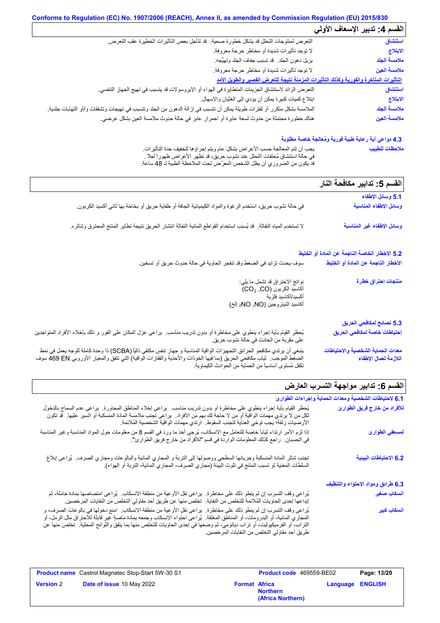## **Conforms to Regulation (EC) No. 1907/2006 (REACH), Annex II, as amended by Commission Regulation (EU) 2015/830**

|                                                                                                                          | القسم 4: تدبير الإسعاف الأولي |
|--------------------------------------------------------------------------------------------------------------------------|-------------------------------|
| التعرض لمنتوجات التحلل قد يشكل خطورة صحية. ۖ قد تتأجل بعض التأثيرات الخطيرة عقب التعرض.                                  | استنشاق                       |
| لا توجد تأثيرات شديدة أو مخاطر حرجة معروفة.                                                                              | الابتلاع                      |
| يزيل دهون الجلد. قد تسبب جفاف الجلد وتهيُّجه.                                                                            | ملامسة الجلد                  |
| لا توجد تأثيرات شديدة أو مخاطر حرجة معروفة.                                                                              | ملامسة العين                  |
| التأثيرات المتأخرة والفورية وكذلك التأثيرات المزمنة نتيجة للتعرض القصير والطويل الأمد                                    |                               |
| النعر ض الزائد لاستنشاق الجزيئات المتطايرة في الهواء أو الإيروسولات قد يتسبب في تهيج الجهاز التنفسي.                     | استنشاق                       |
| ابتلاع كميات كبيرة يمكن أن يؤدي إلى الغثيان والإسهال.                                                                    | الابتلاع                      |
| الملامسة بشكل متكرر أو لفترات طويلة يمكن أن تتسبب في إزالة الدهون من الجلد وتتسبب في تهيجات وتشققات و/أو التهابات جلدية. | ملامسة الجلد                  |
| هناك خطورة محتملة من حدوث لسعة عابرة أو احمرار عابر في حالة حدوث ملامسة العين بشكل عرضي.                                 | ملامسة العين                  |

## **4.3 دواعي أیة رعایة طبیة فوریة ومُعالجة خاصة مطلوبة**

| يجب أن نتم المعالجة حسب الأعراض بشكل عام ويتم إجراؤها لتخفيف حدة التأثيرات.       | ملاحظات للطبيب |
|-----------------------------------------------------------------------------------|----------------|
| ً في حالة استشاق مُخلَّفات التحلُّل عند نشوب حريق، قد تظهر الأعراض ظهور أ أجلاً . |                |
| قد يكون من الضروري أن يظل الشخص المعرَّض تحت الملاحظة الطبية لـ 48 ساعة.          |                |

|                                                                                                                                                                                                                                                                                                               | القسم 5: تدابير مكافحة النار                               |
|---------------------------------------------------------------------------------------------------------------------------------------------------------------------------------------------------------------------------------------------------------------------------------------------------------------|------------------------------------------------------------|
|                                                                                                                                                                                                                                                                                                               | 5.1 وسائل الإطفاء                                          |
| في حالة نشوب حريق، استخدم الرغوة والمواد الكيميائية الجافة أو طفاية حريق أو بخاخة بها ثاني أكسيد الكربون.                                                                                                                                                                                                     | وسائل الإطفاء المناسبة                                     |
| لا تستخدم المياه النفاثة.  قد يُسبب استخدام القواطع المائية النفاثة انتشار  الحريق نتيجة تطاير  المنتج المحترق وتناثره.                                                                                                                                                                                       | وسائل الإطفاء غير المناسبة                                 |
|                                                                                                                                                                                                                                                                                                               | 5.2 الأخطار الخاصة الناجمة عن المادة أو الخليط             |
| سوف يحدث تزايد في الضغط وقد تنفجر الحاوية في حالة حدوث حريق أو تسخين.                                                                                                                                                                                                                                         | الأخطار الناجمة عن المادة أو الخليط                        |
| نواتج الاحتراق قد تشمل ما يلي:<br>أكاسيد الكربون (CO2, CO)<br>أكسيد/أكاسيد فلز ية<br>أكاسيد النيتروجين (NO, NO <sub>2</sub> إلخ)                                                                                                                                                                              | منتجات احتراق خطِرة                                        |
|                                                                                                                                                                                                                                                                                                               | 5.3 نصائح لمكافحي الحريق                                   |
| يُحظر القيام بأية إجراء ينطوي على مخاطرة أو بدون تدريب مناسب.  يراعى عزل المكان على الفور و ذلك بإخلاء الأفراد المتواجدين<br>على مقربة من الحادث في حالة نشوب حريق.                                                                                                                                           | إحتياطات خاصة لمكافحي الحريق                               |
| ينبغي أن يرتدي مكافحو الحرائق التجهيزات الواقية المناسبة و جهاز تنفس مكتفي ذاتيًا (SCBA) ذا وحدة كاملة للوجه يعمل في نمط<br>الضغُّط الموجبَ.  ثياب مكافحي الحريق (بما فيها الخوذات والأحذية والقفازات الواقية) التي تتفق والمعيار الأوروبي 469 EN سوف<br>تكفل مُستوى أساسياً من الحماية من الحوادث الكيماوية. | معدات الحماية الشخصية والاحتياطات<br>اللازمة لعمال الإطفاء |

# **القسم :6 تدابیر مواجھة التسرب العارض**

| $\frac{1}{2}$                                         |                                                                                                                                                                                                                                                                                                                                                                                                                                   |
|-------------------------------------------------------|-----------------------------------------------------------------------------------------------------------------------------------------------------------------------------------------------------------------------------------------------------------------------------------------------------------------------------------------------------------------------------------------------------------------------------------|
| 6.1 لاحتياطات الشخصية ومعدات الحماية وإجراءات الطوارئ |                                                                                                                                                                                                                                                                                                                                                                                                                                   |
| للأفراد من خارج فريق الطوارئ                          | يُحظر القيام بأية إجراء ينطوي على مخاطرة أو بدون تدريب مناسب.  يراعي إخلاء المناطق المجاورة.  يراعي عدم السماح بالدخول<br>لكل من لا يرتدي مهمات الواقية أو من لا حاجة لك بهم من الأفراد.  يراعي تجنب ملامسة المادة المنسكبة أو السير  عليها   قد تكون<br>الأرضيات زلقة؛ يجب توخي العناية لتجنب السقوط. ارتدي مهمات الواقية الشخصية المُلائمة.                                                                                     |
| لمسعفي الطوارئ                                        | إذا لزم الأمر ارتداء ثياباً خاصة للتعامل مع الانسكاب، يُرجى أخذ ما ورد في القسم 8 من معلومات حول المواد المناسبة وغير المناسبة<br>في الحسبان.   راجع كذلك المعلومات الواردة في قسم "للأفراد من خارج فريق الطوارئ".                                                                                                                                                                                                                |
| 6.2 الاحتياطات البينية                                | تجنب تناثر المادة المنسكبة وجريانها السطحي ووصولها إلى التربة و المجاري المانية والبالوعات ومجاري الصرف.  يُراعى إبلاغ<br>السلطات المعنية لو تسبب المنتج في تلوث البيئة (مجاري الصرف، المجاري المائية، التربة أو الهواء).                                                                                                                                                                                                         |
| 6.3 طرائق ومواد الاحتواء والتنظيف                     |                                                                                                                                                                                                                                                                                                                                                                                                                                   |
| انسكاب صغير                                           | يُراعى وقف التسرب إن لم ينطو ذلك على مخاطرة.  يراعى نقل الأوعية من منطقة الانسكاب.  يُراعى امتصاصها بمادة خاملة، ثم<br>إيداعها إحدى الحاويات المُلائمة للتخلص من النفاية.  تخلص منها عن طريق أحد مقاولي التخلص من النفايات المرخصين.                                                                                                                                                                                              |
| ا <mark>نسكاب كبير</mark>                             | يُراعى وقف التسرب إن لم ينطو ذلك على مخاطرة.  يراعى نقل الأوعية من منطقة الانسكاب.  امنع دخولها في بالوعات الصرف، و<br>المعجاري المائية، أو البدرومات، أو المناطق المغلقة.  يُراعي احتواء الانسكاب وجمعه بمادة ماصةٍ غير قابلة للاحتراق مثل الرمل، أو<br>التراب، أو الفرميكيوليت، أو تراب دياتومي، ثم وضعها في إحدى الحاويات للتخلص منها بما يتفق واللوائح المحلية   تخلص منها عن<br>طريق أحد مقاولي التخلص من النفايات المرخصين. |

|                  | <b>Product name</b> Castrol Magnatec Stop-Start 5W-30 S1 |                      | <b>Product code</b> 469559-BE02      |                         | Page: 13/20 |
|------------------|----------------------------------------------------------|----------------------|--------------------------------------|-------------------------|-------------|
| <b>Version 2</b> | <b>Date of issue 10 May 2022</b>                         | <b>Format Africa</b> | <b>Northern</b><br>(Africa Northern) | <b>Language ENGLISH</b> |             |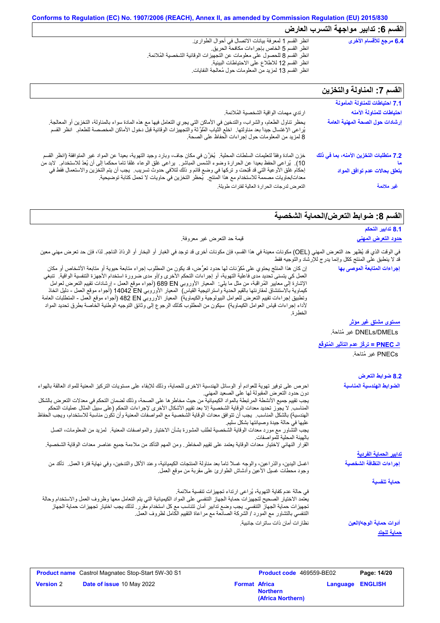| 6.4 مرجع للأقسام الأخرى        | انظر القسم 1 لمعرفة بيانات الاتصال في أحوال الطوارئ.                     |
|--------------------------------|--------------------------------------------------------------------------|
|                                | انظر القسم 5 الخاص بإجراءات مكافحة الحريق.                               |
|                                | انظر القسم 8 للحصول على معلومات عن التجهيزات الوقائية الشخصية المُلائمة. |
|                                | انظر القسم 12 للاطلاع على الاحتياطات البيئية.                            |
|                                | انظر القسم 13 لمزيد من المعلومات حول مُعالجة النفايات                    |
|                                |                                                                          |
| القسم 7: المناولة والتخزين     |                                                                          |
|                                |                                                                          |
| 7.1 احتياطات للمناولة المأمونة |                                                                          |
|                                |                                                                          |

| القسم /: المناولة والنحرين                                                    |
|-------------------------------------------------------------------------------|
| 7.1 احتياطات للمناولة المأمونة                                                |
| احتياطات للمناولة الآمنه                                                      |
| إرشادات حول الصحة المهنية العامة                                              |
| 7.2 متطلبات التخزين الآمنه، بما في ذلك<br>ما<br>يتعلق بحالات عدم توافق المواد |
| غير ملائمة                                                                    |
|                                                                               |

## القسم 8: ضوابط التع*ر*ض/الحماية الشخصية

|                                                                                                                                                                                                                                               |                           | 8.1 تدابير التحكم                                          |
|-----------------------------------------------------------------------------------------------------------------------------------------------------------------------------------------------------------------------------------------------|---------------------------|------------------------------------------------------------|
|                                                                                                                                                                                                                                               | قيمة حد التعرض غير معروفة | <u>حدود التعرض المهني</u>                                  |
| في الوقت الذي قد يُظهر حد التعرض المهني (OEL) مكونات معينة في هذا القسم، فإن مكونات أخرى قد توجد في الغبار أو البخار أو الرذاذ الناجم. لذا، فإن حد تعرض مهني معين                                                                             |                           | قد لا ينطبق على المنتج ككل وإنما يدرج للإرشاد والتوجيه فقط |
| إن كان هذا المنتَج يحتوي على مُكرِّنات لها حدود تعرُّض، قد يكون من المطلوب إجراء متابعة حيوية أو متابعة الأشخاص أو مكان                                                                                                                       |                           | إجراءات المتابعة الموصى بها                                |
| العمل كي يتسنى تحديد مدى فاعلية التهوية، أو إجراءات التحكم الأخرى و/أو مدى ضرورة استخدام الأجهزة التنفسية الواقية.  تنبغي<br>المدينة المالية المؤقفة المعاملة المعاونة المتعادلة المعاملة المعاملة المالية المدينة المعاملة المعاملة المعاملة |                           |                                                            |

| انعش سی پیشتی تعتیب مدی تاخیب اسپریا • او اپنی الا استعمال میرون و اراد مدی معروز با استعمال امیلی استعمال است<br>الإشارة إلى معايير المُراقبة، من مثل ما يلي:  المعيار الأوروبي 680 689 (أجواء موقع العمل - إرشادات نقييع التعرض لعوامل<br>كيماوية بالاستنشاق لمقارنتها بالقيم الحدية واستراتيجية القياس)  المعيار الأوروبي 14042 EN (أجواء موقع العمل ـ دليل اتخاذ<br>ونطبيق إجراءات تقييم التعرض للعوامل البيولوجية والكيماوية)  المعيار الأوروبي 482 EN (أجواء موقع العمل - المنطلبات العامة<br>لأداء إجراءات قياس العوامل الكيماوية)  سيكون من المطلوب كذلك الرجوع إلى وثائق التوجيه الوطنية الخاصة بطرق تحديد المواد<br>الخطر ة                                                                                                                                                                                                                                                              |                                                                     |
|----------------------------------------------------------------------------------------------------------------------------------------------------------------------------------------------------------------------------------------------------------------------------------------------------------------------------------------------------------------------------------------------------------------------------------------------------------------------------------------------------------------------------------------------------------------------------------------------------------------------------------------------------------------------------------------------------------------------------------------------------------------------------------------------------------------------------------------------------------------------------------------------------|---------------------------------------------------------------------|
|                                                                                                                                                                                                                                                                                                                                                                                                                                                                                                                                                                                                                                                                                                                                                                                                                                                                                                    | <u>مستوى مشتق غير موثر</u>                                          |
|                                                                                                                                                                                                                                                                                                                                                                                                                                                                                                                                                                                                                                                                                                                                                                                                                                                                                                    | DNELs/DMELs غير مُتاحة.                                             |
|                                                                                                                                                                                                                                                                                                                                                                                                                                                                                                                                                                                                                                                                                                                                                                                                                                                                                                    | <u>الـ PNEC = تركُز عدم التآثير المُتوفَّع</u><br>PNECs غير مُتاحة. |
|                                                                                                                                                                                                                                                                                                                                                                                                                                                                                                                                                                                                                                                                                                                                                                                                                                                                                                    | 8.2 ضوابط التعرض                                                    |
| احرص على توفير تهوية للعوادم أو الوسائل الهندسية الاخرى للحماية، وذلك للإبقاء على مستويات التركيز المعنية للمواد العالقة بالهواء<br>دون حدود النعرض المقبولة لها على الصعيد المهني<br>يجب تقييم جميع الأنشطة المرتبطة بالمواد الكيميائية من حيث مخاطر ها على الصحة، وذلك لضمان التحكم في معدلات التعرض بالشكل<br>المناسب. لا يجوز تحديد معدات الوقاية الشخصية إلا بعد تقييم الأشكال الأخرى لإجراءات التحكم (على سبيل المثال عمليات التحكم<br>الهندسية) بالشكل المناسب.  يجب أن تتوافق معدات الوقاية الشخصية مع المواصفات المعنية وأن تكون مناسبة للاستخدام، ويجب الحفاظ<br>عليها في حالة جيدة وصيانتها بشكل سليم<br>يجب التشاور مع مورد معدات الوقاية الشخصية لطلب المشورة بشأن الاختيار والمواصفات المعنية. لمزيد من المعلومات، اتصل<br>بالهيئة المحلية للمو اصفات<br>القرار النهائي لاختيار معدات الوقاية يعتمد على تقييم المخاطر ـ ومن المهم التأكد من ملاءمة جميع عناصر معدات الوقاية الشخصية. | الضوابط الهندسية المناسبة                                           |
|                                                                                                                                                                                                                                                                                                                                                                                                                                                                                                                                                                                                                                                                                                                                                                                                                                                                                                    | <u>تدابير الحماية الفردية</u>                                       |
| اغسل اليدين، والذراعين، والوجه غسلاً تاماً بعد مناولة المنتجات الكيميائية، وعند الأكل والتدخين، وفي نهاية فترة العمل  تأكد من<br>وجود محطات غسيل الأعين وأدشاش الطوارئ على مقربة من موقع العمل.                                                                                                                                                                                                                                                                                                                                                                                                                                                                                                                                                                                                                                                                                                    | إجراءات النظافة الشخصية                                             |
|                                                                                                                                                                                                                                                                                                                                                                                                                                                                                                                                                                                                                                                                                                                                                                                                                                                                                                    | حماية تنفسية                                                        |
| في حالة عدم كفاية التهوية، يُراعى ارتداء تجهيزات تنفسية ملائمة.<br>يعتمد الاختيار الصحيح لتجهيزات حماية الجهاز التنفسي على المواد الكيميائية التى يتم التعامل معها وظروف العمل والاستخدام وحالة<br>تجهيزات حماية الجهاز التنفسي. يجب وضع تدابير أمان تتناسب مع كل استخدام مقرر . لذلك يجب اختيار تجهيزات حماية الجهاز<br>التنفسي بالنشاور مع المورد / الشركة الصـانعة مع مراعاة النقيبم الكامل لظروف العمل.                                                                                                                                                                                                                                                                                                                                                                                                                                                                                        |                                                                     |
| نظار ات أمان ذات ساتر ات جانبية.                                                                                                                                                                                                                                                                                                                                                                                                                                                                                                                                                                                                                                                                                                                                                                                                                                                                   | أدوات حماية الوجه/العين<br><u>حماية للجلد</u>                       |
|                                                                                                                                                                                                                                                                                                                                                                                                                                                                                                                                                                                                                                                                                                                                                                                                                                                                                                    |                                                                     |

|                  | <b>Product name</b> Castrol Magnatec Stop-Start 5W-30 S1 |                      | <b>Product code</b> 469559-BE02      |                         | Page: 14/20 |
|------------------|----------------------------------------------------------|----------------------|--------------------------------------|-------------------------|-------------|
| <b>Version 2</b> | <b>Date of issue 10 May 2022</b>                         | <b>Format Africa</b> | <b>Northern</b><br>(Africa Northern) | <b>Language ENGLISH</b> |             |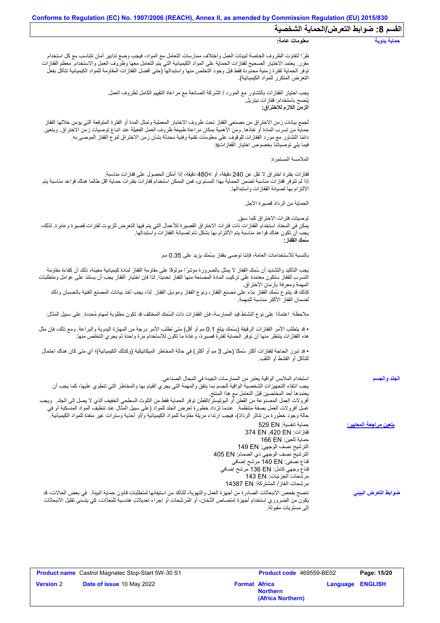$\mathbf{I}$ 

|                                 | القسم 8: ضوابط التعرض/الحماية الشخصية                                                                                                                                                                                                                                                                                                                                                                                                                                                                                                                                                                                                |  |  |  |  |
|---------------------------------|--------------------------------------------------------------------------------------------------------------------------------------------------------------------------------------------------------------------------------------------------------------------------------------------------------------------------------------------------------------------------------------------------------------------------------------------------------------------------------------------------------------------------------------------------------------------------------------------------------------------------------------|--|--|--|--|
| حماية يدوية                     | معلومات عامة:                                                                                                                                                                                                                                                                                                                                                                                                                                                                                                                                                                                                                        |  |  |  |  |
|                                 | ظرًا لتفاوت الظروف الخاصة لبيئات العمل واختلاف ممارسات التعامل مع المواد، فيجب وضع تدابير أمان تتناسب مع كل استخدام<br>مقرر ٍ يعتمد الاختيار الصحيح لقفازات الحماية على المواد الكيميائية التي يتم التعامل معها وظروف العمل والاستخدام معظم القفازات<br>توفر الحماية لفترة زمنية محدودة فقط قبل وجود التخلص منها واستبدالها (حتى أفضل القفازات المقاومة للمواد الكيميائية تتآكل بفعل<br>التعرض المتكرر للمواد الكيميائية)                                                                                                                                                                                                            |  |  |  |  |
|                                 | يجب اختيار القفازات بالتشاور مع المورد / الشركة الصانعة مع مراعاة التقييم الكامل لظروف العمل.<br>يُنصح باستخدام: قفاز ات نيتريل.<br>الزمن اللازم للاختراق:                                                                                                                                                                                                                                                                                                                                                                                                                                                                           |  |  |  |  |
|                                 | ثجمع بيانات زمن الاختراق من مصنعي القفاز تحت ظروف الاختبار المعملية وتمثل المدة أو الفترة المتوقعة التي يؤمن خلالها القفاز<br>حماية من تسرب المادة أو نفاذها. ومن الأهمية بمكان مراعاة طبيعة ظروف العمل الفعيلة عند اتباع توصيات زمن الاختراق. ويتعين<br>دائمًا التشاور مع مورد القفازات للوقوف على معلومات تقنية وفنية محدثة بشأن زمن الاختراق لنوع القفاز الموصىي به<br>فيما يلي توصياتنا بخصوص اختيار  القفاز اتs:                                                                                                                                                                                                                |  |  |  |  |
|                                 | الملامسة المستمر ة:                                                                                                                                                                                                                                                                                                                                                                                                                                                                                                                                                                                                                  |  |  |  |  |
|                                 | قفازات بفترة اختراق لا تقل عن 240 دقيقة، أو >480 دقيقة، إذا أمكن الحصول على قفازات مناسبة.<br>إذا لم تتوفر قفازات مناسبة تضمن الحماية بهذا المستوى، فمن الممكن استخدام قفازات بفترات حماية أقل طالما هناك قواعد مناسبة يتم<br>الالتز ام بها لصيانة القفاز ات و استبدالها.                                                                                                                                                                                                                                                                                                                                                            |  |  |  |  |
|                                 | الحماية من الرذاذ قصيرة الأجل                                                                                                                                                                                                                                                                                                                                                                                                                                                                                                                                                                                                        |  |  |  |  |
|                                 | توصيات فتر ات الاختر اق كما سبق.<br>يمكن في المعتاد استخدام القفازات ذات فترات الاختراق القصيرة للأعمال التي يتم فيها التعرض للزيوت لفترات قصيرة وعابرة. لذلك،<br>يجب أن تكون هناك قواعد مناسبة يتم الالتزام بها بشكل تام لصبيانة القفاز ات واستبدالها.<br>سَمك الففاز :                                                                                                                                                                                                                                                                                                                                                             |  |  |  |  |
|                                 | بالنسبة للاستخدامات العامة، فإننا نوصي بقفاز بسُمك يزيد على 0.35 مم.                                                                                                                                                                                                                                                                                                                                                                                                                                                                                                                                                                 |  |  |  |  |
|                                 | يجب التأكيد والتشديد أن سُمك القفاز لا يمثل بالضرورة مؤشرًا موثوقًا على مقاومة القفاز لمادة كيميائية معينة، ذلك أن كفاءة مقاومة<br>التسرب للقفاز ستكون معتمدة على تركيب المادة المصنعة منها القفاز تحديدًا. لذا فإن اختيار القفاز يجب أن يستند على عوامل ومتطلبات                                                                                                                                                                                                                                                                                                                                                                    |  |  |  |  |
|                                 | المهمة ومعرفة بازمان الاختراق.<br>كذلك قد يتنوع سُمك القفاز بناء على مُصنع القفاز ، ونوع القفاز وموديل القفاز ٍ لذا، يجب أخذ بيانات المصنع الفنية بالحسبان وذلك<br>لضمان القفاز الأكثر مناسبة للمهمة                                                                                                                                                                                                                                                                                                                                                                                                                                 |  |  |  |  |
|                                 | ملاحظة: اعتمادًا على نوع النشاط قيد الممارسة، فإن القفازات ذات السُمك المختلف قد تكون مطلوبة لمهام مُحددة. على سبيل المثال:                                                                                                                                                                                                                                                                                                                                                                                                                                                                                                          |  |  |  |  |
|                                 | • قد يتطلب الأمر القفازات الرقيقة (بسُمك يبلغ 0.1 مم أو أقل) متى تطلب الأمر درجة من المهارة اليدوية والبراعة. ومع ذلك، فإن مثل<br>هذه القفازات ينتظر منها أن توفر الحماية لفترة قصيرة، وعادة ما تكون للاستخدام مرة واحدة ثم يجري التخلص منها.                                                                                                                                                                                                                                                                                                                                                                                        |  |  |  |  |
|                                 | • قد تبرز الحاجة لقفازات أكثر سُمكًا (حتى 3 مم أو أكثر) في حالة المخاطر الميكانيكية (وكذلك الكيميائية)؛ أي متى كان هناك احتمال<br>للتآكل أو القشط أو الثقب                                                                                                                                                                                                                                                                                                                                                                                                                                                                           |  |  |  |  |
| الجلد والجسم                    | استخدام الملابس الواقية يعتبر من الممارسات الجيدة في المجال الصناعي.<br>يجب انتقاء التجهيزات الشخصية الواقية للجسم بما يتفق والمهمة التي يجري القيام بها والمخاطر التي تنطوي عليها، كما يجب أن<br>يعتمدها أحد المختصبين قبل التعامل مع هذا المنتج<br>أفرولات العمل المصنوعة من القطن أو البوليستر/القطن توفر الحماية فقط من التلوث السطحي الخفيف الذي لا يصل إلى الجلد ٍ ويجب<br>غسل أفرولات العمل بصفة منتظمة ٍ عندما تزداد خطورة تعرض الجلد للمواد (على سبيل المثال عند تنظيف المواد المنسكبة أو في<br>حالة وجود خطورة من تناثر الرذاذ)، فيجب ارتداء مريلة مقاومة للمواد الكيميائية و/أو أحذية وسترات غير منفذة للمواد الكيميائية. |  |  |  |  |
| يتعين مراجعة المعايي <u>ر :</u> | حماية تنفسية: 529 EN<br>قفازات: 374 EN ,420 EN<br>حماية للعين: 166 EN<br>الترشيح نصف الوجهي: 149 EN<br>الترشيح نصف الوجهي ذي الصمام: 405 EN<br>قناع نصفي: 140 EN مرشح إضافي<br>قفاع وجهي كامل: 136 EN مرشح إضافي<br>مر شحات الجز ئيات: 143 EN<br>مرشحات الغاز/ المشتركة: 14387 EN                                                                                                                                                                                                                                                                                                                                                    |  |  |  |  |
| ضوابط التعرض البينى             | ننصح بفحص الإنبعاثات الصادرة من أجهزة العمل والتهوية، للتأكد من استيفائها لمتطلبات قانون حماية البيئة _ في بعض الحالات، قد<br>يكون من الضروري استخدام أجهزة إمتصاص الدُّخان، أو المُرشِّحات أو إجراء تعديلاتٍ هندسية للمُعِدَّات، كي يتسنى تقليل الانبعاثات<br>البي مستويات مقبولة.                                                                                                                                                                                                                                                                                                                                                  |  |  |  |  |

|                  | <b>Product name</b> Castrol Magnatec Stop-Start 5W-30 S1 |                      | <b>Product code</b> 469559-BE02      |                         | Page: 15/20 |
|------------------|----------------------------------------------------------|----------------------|--------------------------------------|-------------------------|-------------|
| <b>Version 2</b> | <b>Date of issue 10 May 2022</b>                         | <b>Format Africa</b> | <b>Northern</b><br>(Africa Northern) | <b>Language ENGLISH</b> |             |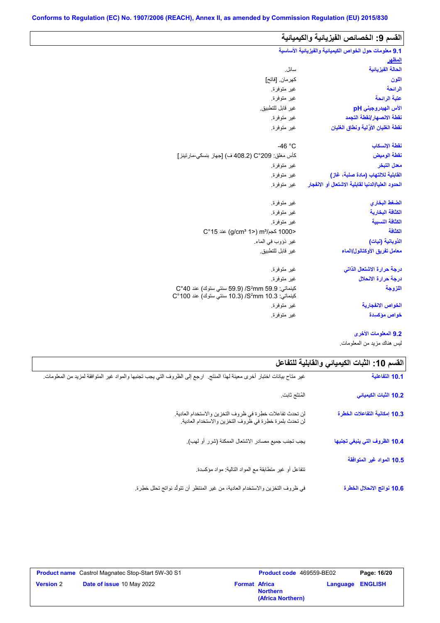L

 $\mathbf{r}$ 

| القسم 9: الخصائص الفيزيائية والكيميائية                |                                                                                                       |  |
|--------------------------------------------------------|-------------------------------------------------------------------------------------------------------|--|
| 9.1 معلومات حول الخواص الكيميانية والفيزيانية الأساسية |                                                                                                       |  |
| للمظهر                                                 |                                                                                                       |  |
| الحالة الفيزيائية                                      | سائل.                                                                                                 |  |
| اللون                                                  | كهر مان. [فاتح]                                                                                       |  |
| الرائحة                                                | غير متوفرة.                                                                                           |  |
| عتبة الرائحة                                           | غير متوفرة.                                                                                           |  |
| الأس الهيدروجيني pH                                    | غير قابل للتطبيق.                                                                                     |  |
| نفطة الانصهار إنفطة التجمد                             | غير متوفرة.                                                                                           |  |
| نقطة الغليان الأولية ونطاق الغليان                     | غير متوفرة.                                                                                           |  |
| نقطة الإنسكاب                                          | $-46 °C$                                                                                              |  |
| نقطة الوميض                                            | كأس مغلق: 209°C (408.2 ف) [جهاز بنسكي-مارتينز]                                                        |  |
| معدل التبخر                                            | غير متوفرة.                                                                                           |  |
| القابلية للالتهاب (مادة صلبة، غاز)                     | غير متوفرة.                                                                                           |  |
| الحدود العليا/الدنيا لقابلية الاشتعال أو الانفجار      | غير متوفرة.                                                                                           |  |
| الضغط البخاري                                          | غير متوفرة.                                                                                           |  |
| الكثافة البخارية                                       | غير متوفرة.                                                                                           |  |
| الكثافة النسبية                                        | غير متوفرة.                                                                                           |  |
| الكثافة                                                | <1000 كجم/m3 (2°15) aic (g/cm3 1                                                                      |  |
| الذوبانية (نبات)                                       | غير ذؤوب في الماء.                                                                                    |  |
| معامل تفريق الأوكتانول/الماء                           | غير قابل للتطبيق.                                                                                     |  |
| درجة حرارة الاشتعال الذاتى                             | غير متوفرة                                                                                            |  |
| درجة حرارة الانحلال                                    | غير متوفرة.                                                                                           |  |
| اللزوجة                                                | كينماتي: 59.9 S°mm) /S/ (59.9 سنتي ستوك) عند 40°C<br>كينماتي: 3.S2mm 10.3/ (10.3 سنتي ستوك) عند 100°C |  |
| الخواص الانفجا <i>ر</i> ية                             | غير متوفرة.                                                                                           |  |
| خواص مؤكسيدة                                           | غير متوفرة                                                                                            |  |

**9.2 المعلومات الأخرى**

لیس ھناك مزید من المعلومات.

| القسم 10: الثبات الكيميائي والفابلية للتفاعل |                                                                                                                           |
|----------------------------------------------|---------------------------------------------------------------------------------------------------------------------------|
| 10.1 التفاعلية                               | غير متاح بيانات اختبار أخرى معينة لهذا المنتج.  ارجع إلى الظروف التي يجب تجنبها والمواد غير المتوافقة لمزيد من المعلومات. |
| 10.2 الثبات الكيميائي                        | المُنتَج ثابت.                                                                                                            |
| 10.3 إمكانية التفاعلات الخطرة                | لن تحدث تفاعلات خطرة في ظروف التخزين والاستخدام العادية.<br>لن تحدث بلمرة خطرة في ظروف التخزين والاستخدام العادية.        |
| 10.4 الظروف التي ينبغي تجنبها                | يجب تجنب جميع مصادر الاشتعال الممكنة (شرر أو لهب).                                                                        |
| 10.5 المواد غير المتوافقة                    | نتفاعل أو غير منطابقة مع المواد النالية: مواد مؤكسدة                                                                      |
| 10.6 نواتج الانحلال الخطرة                   | في ظروف التخزين والاستخدام العادية، من غير المنتظر أن تتولَّد نواتج تحلَّل خطِرة.                                         |

|                  | <b>Product name</b> Castrol Magnatec Stop-Start 5W-30 S1 |                      | Product code 469559-BE02             | Page: 16/20             |
|------------------|----------------------------------------------------------|----------------------|--------------------------------------|-------------------------|
| <b>Version 2</b> | <b>Date of issue 10 May 2022</b>                         | <b>Format Africa</b> | <b>Northern</b><br>(Africa Northern) | <b>Language ENGLISH</b> |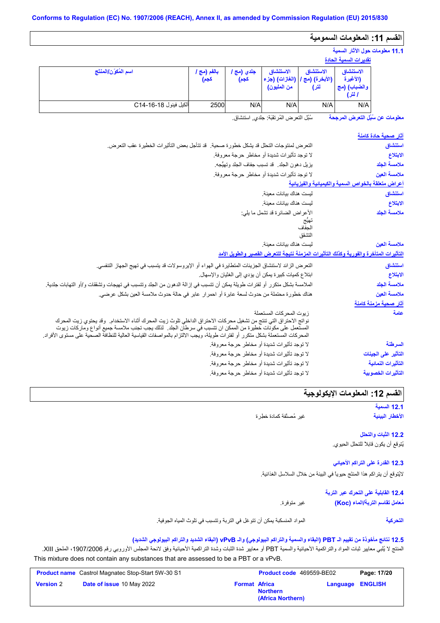## **القسم :11 المعلومات السمومیة**

## **11.1 معلومات حول الآثار السمیة**

|                      |                     |                                   |                                            |                                     | تقديرات السمية الحادة                           |
|----------------------|---------------------|-----------------------------------|--------------------------------------------|-------------------------------------|-------------------------------------------------|
| اسم المُكوّن/المنتَج | بالفم (مج ا<br>كجم) | جل <i>دي</i> (مج <i>ا</i><br>كجم) | الاستنشاق<br>(الغازات) (جزء<br>من المليون) | الاستنشاق<br>(الأبغرة) (مج`<br>لتر) | الاستنشاق<br>(الأغبرة<br>والضباب) (مج<br>ا لتر) |
| ألكيل فينول C14-16-4 | 2500                | N/A                               | N/A                                        | N/A                                 | N/A                                             |

سُبُل التعرض المُرتقَبَة: جلدي, استنشاق. **معلومات عن سُبُل التعرض المرجحة**

| <u>آثار صحبة حادة كامنة</u>                         |                                                                                                                                                                                                                                                                                                                                                             |
|-----------------------------------------------------|-------------------------------------------------------------------------------------------------------------------------------------------------------------------------------------------------------------------------------------------------------------------------------------------------------------------------------------------------------------|
| استنشاق                                             | التعرض لمنتوجات التحلل قد يشكل خطورة صحية. ۖ قد تتأجل بعض التأثيرات الخطيرة عقب التعرض.                                                                                                                                                                                                                                                                     |
| الابتلاع                                            | لا توجد تأثيرات شديدة أو مخاطر حرجة معروفة.                                                                                                                                                                                                                                                                                                                 |
| ملامسة الجلد                                        | يزيل دهون الجلد. قد تسبب جفاف الجلد وتهيُّجه.                                                                                                                                                                                                                                                                                                               |
| ملامسة العين                                        | لا توجد تأثير ات شديدة أو مخاطر حرجة معروفة.                                                                                                                                                                                                                                                                                                                |
| أعراض متعلقة بالخواص السمية والكيميانية والفيزيانية |                                                                                                                                                                                                                                                                                                                                                             |
| استنشاق                                             | ليست هناك بيانات معينة                                                                                                                                                                                                                                                                                                                                      |
| الابتلاع                                            | ليست هناك بيانات معينة                                                                                                                                                                                                                                                                                                                                      |
| ملامسة الجلد                                        | الأعراض الضائرة قد تشمل ما يلي:                                                                                                                                                                                                                                                                                                                             |
|                                                     | نهيج                                                                                                                                                                                                                                                                                                                                                        |
|                                                     | الحفاف<br>التشقق                                                                                                                                                                                                                                                                                                                                            |
| ملامسة العين                                        | ليست هناك بيانات معينة                                                                                                                                                                                                                                                                                                                                      |
|                                                     | التأثيرات المتأخرة والفورية وكذلك التأثيرات المزمنة نتبجة للتعرض القصير والطويل الأمد                                                                                                                                                                                                                                                                       |
| استنشاق                                             | النعر ض الزائد لاستنشاق الجزيئات المتطايرة في الهواء أو الإيروسولات قد يتسبب في تهيج الجهاز التنفسي.                                                                                                                                                                                                                                                        |
| الابتلاع                                            | ابتلاع كميات كبيرة يمكن أن يؤدي إلى الغثيان والإسهال.                                                                                                                                                                                                                                                                                                       |
| ملامسة الجلد                                        | الملامسة بشكل متكرر أو لفترات طويلة يمكن أن تتسبب في إزالة الدهون من الجلد وتتسبب في تهيجات وتشققات و/أو التهابات جلدية.                                                                                                                                                                                                                                    |
| ملامسة العين                                        | هناك خطورة محتملة من حدوث لسعة عابرة أو احمر ار عابر في حالة حدوث ملامسة العين بشكل عرضي.                                                                                                                                                                                                                                                                   |
| <u>آثار صحية مزمنة كام</u> نة                       |                                                                                                                                                                                                                                                                                                                                                             |
| عامة                                                | زيوت المحركات المستعملة                                                                                                                                                                                                                                                                                                                                     |
|                                                     | نواتج الاحتراق التي تنتج من تشغيل محركات الاحتراق الداخلي تلوث زيت المحرك أثناء الاستخدام. وقد يحتوي زيت المحرك<br>المستعمل على مكونات خطيرة من الممكن ان تتسبب في سرطان الجلد.  لذلك يجب تجنب ملامسة جميع أنواع وماركات زيوت<br>المحركات المستعملة بشكل متكرر أو لفترات طويلة، ويجب الالتزام بالمواصفات القياسية العالية للنظافة الصحية على مستوى الأفراد. |
| السرطنة                                             | لا توجد تأثيرات شديدة أو مخاطر حرجة معروفة.                                                                                                                                                                                                                                                                                                                 |
| التأثير على الجينات                                 | لا توجد تأثيرات شديدة أو مخاطر حرجة معروفة.                                                                                                                                                                                                                                                                                                                 |
| التأثيرات النمائية                                  | لا توجد تأثيرات شديدة أو مخاطر حرجة معروفة.                                                                                                                                                                                                                                                                                                                 |
| التأثيرات الخصوبية                                  | لا توجد تأثيرات شديدة أو مخاطر حرجة معروفة.                                                                                                                                                                                                                                                                                                                 |
|                                                     |                                                                                                                                                                                                                                                                                                                                                             |

## القسم **12:** المعلومات الإيكولوجية

**12.1 السمیة الأخطار البیئیة**

غیر مُصنَّفة كمادة خطِرة

**12.2 الثبات والتحلل** یُتوقع أن یكون قابلاً للتحلل الحیوي.

**12.3 القدرة على التراكم الأحیائي** لایُتوقع أن یتراكم ھذا المنتَج حیویاً في البیئة من خلال السلاسل الغذائیة.

> **12.4 القابلیة على التحرك عبر التربة** غیر متوفرة. **مُعامل تقاسم التربة/الماء (Koc(**

المواد المنسكبة یمكن أن تتوغل في التربة وتتسبب في تلوث المیاه الجوفیة. **التحركیة**

## **12.5 نتائج مأخوذة من تقییم الـ PBT) البقاء والسمیة والتراكم البیولوجي) والـ vPvB) البقاء الشدید والتراكم البیولوجي الشدید)**

المنتج لا یُلبي معاییر ثبات المواد والتراكمیة الأحیائیة والسمیة PBT أو معاییر شدة الثبات وشدة التراكمیة الأحیائیة وفق لائحة المجلس الأوروبي رقم ،1907/2006 الملحق XIII. This mixture does not contain any substances that are assessed to be a PBT or a vPvB.

|                  | <b>Product name</b> Castrol Magnatec Stop-Start 5W-30 S1 |                      | <b>Product code</b> 469559-BE02      | Page: 17/20             |
|------------------|----------------------------------------------------------|----------------------|--------------------------------------|-------------------------|
| <b>Version 2</b> | Date of issue 10 May 2022                                | <b>Format Africa</b> | <b>Northern</b><br>(Africa Northern) | <b>Language ENGLISH</b> |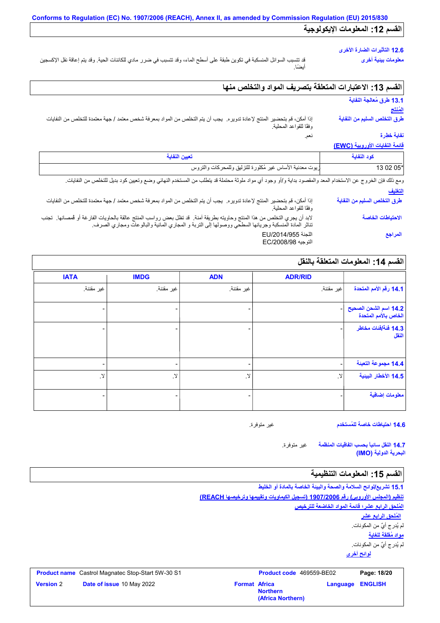## **12.6 التأثیرات الضارة الأخرى**

**معلومات بیئیة أخرى**

قد تتسبب السوائل المنسكبة في تكوین طبقة على أسطح الماء، وقد تتسبب في ضرر مادي للكائنات الحیة. وقد یتم إعاقة نقل الإكسجین أیضًا.

## **القسم :13 الاعتبارات المتعلقة بتصریف المواد والتخلص منھا**

نعم.

## **13.1 طرق مُعالجة النفایة**

### **المُنتَج**

إذا أمكن، قم بتحضیر المنتج لإعادة تدویره. یجب أن یتم التخلص من المواد بمعرفة شخص معتمد / جھة معتمدة للتخلص من النفایات وفقًا للقواعد المحلیة. **طرق التخلص السلیم من النفایة نفایة خطِرة**

## **قائمة النفایات الأوروبیة (EWC(**

| $\frac{1}{2}$                |                                                                                                                                                                                                                                  |
|------------------------------|----------------------------------------------------------------------------------------------------------------------------------------------------------------------------------------------------------------------------------|
| كود النفاية                  | تعيين النفاية                                                                                                                                                                                                                    |
| 13 02 05*                    | زيوت معدنية الأساس غير مُكلورة للتزليق وللمحركات والتروس                                                                                                                                                                         |
|                              | ومع ذلك فإن الخروج عن الاستخدام المعد والمقصود بداية و/أو وجود أي مواد ملوثة محتملة قد يتطلب من المستخدم النهائي وضع وتعيين كود بديل للتخلص من النفايات.                                                                         |
| التغليف                      |                                                                                                                                                                                                                                  |
| طرق التخلص السليم من النفاية | إذا أمكن، قم بتحضير المنتج لإعادة تدويره. يجب أن يتم التخلص من المواد بمعرفة شخص معتمد / جهة معتمدة للتخلص من النفايات<br>وفقًا للقواعد المحلية.                                                                                 |
| الاحتياطات الخاصة            | لابد أن يجري التخلص من هذا المنتج وحاويته بطريقة آمنة.  قد تظل بعض رواسب المنتج عالقة بالحاويات الفارغة أو ڤمصانها.  تجنب<br>تناثر المادة المنسكبة وجريانها السطحي ووصولها إلى التربة و المجاري المائية والبالوعات ومجاري الصرف. |
| المراجع                      | اللجنة EU/2014/955<br>التوجيه EC/2008/98                                                                                                                                                                                         |

## **القسم :14 المعلومات المتعلقة بالنقل**

|                                               | <b>ADR/RID</b> | <b>ADN</b>               | <b>IMDG</b>       | <b>IATA</b> |
|-----------------------------------------------|----------------|--------------------------|-------------------|-------------|
| أ 14.1 رقم الأمم المتحدة                      | غير مقننة.     | غير مقننة.               | غير مقننة.        | غير مقننة.  |
| 14.2 اسم الشحن الصحيح<br>الخاص بالأمم المتحدة |                |                          |                   |             |
| 14.3 فَنَةَ/فَنَاتَ مَخَاطِر<br>النقل         | -              |                          |                   |             |
| 14.4 مجموعة التعبنة                           |                | $\overline{\phantom{0}}$ | -                 |             |
| 14.5 الأخطار البينية                          | $\mathcal{A}$  | . Y                      | $\cdot$ $\lambda$ | .Y          |
| معلومات إضافية                                |                |                          | -                 |             |

**14.6 احتیاطات خاصة للمُستخدم**

غیر متوفرة.

غیر متوفرة. **14.7 النقل سائباً بحسب اتفاقیات المنظمة البحریة الدولیة (IMO(**

## القسم 15: المعلومات التنظيمية

**لوائح أخرى 15.1 تشریع/لوائح السلامة والصحة والبیئة الخاصة بالمادة أو الخلیط تنظیم (المجلس الأوروبي) رقم 1907/2006 (تسجیل الكیماویات وتقییمھا وترخیصھا REACH( المُلحق الرابع عشر؛ قائمة المواد الخاضعة للترخیص مواد مُقلقة للغایة** لم یُدرج أيٌ من المكونات. لم یُدرج أيٌ من المكونات. **المُلحق الرابع عشر**

|                  | <b>Product name</b> Castrol Magnatec Stop-Start 5W-30 S1 |                      | <b>Product code</b> 469559-BE02      |          | Page: 18/20    |
|------------------|----------------------------------------------------------|----------------------|--------------------------------------|----------|----------------|
| <b>Version 2</b> | Date of issue 10 May 2022                                | <b>Format Africa</b> | <b>Northern</b><br>(Africa Northern) | Language | <b>ENGLISH</b> |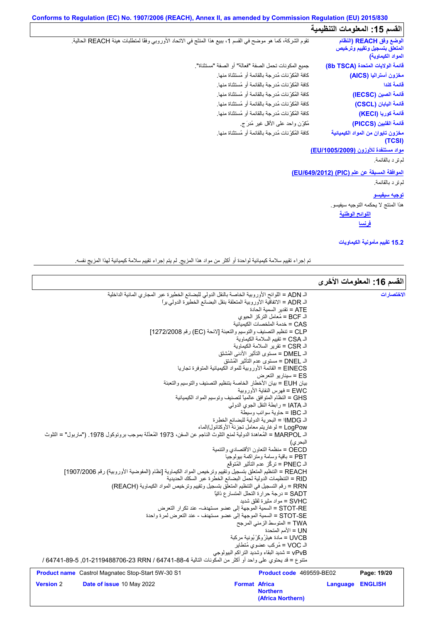## **Conforms to Regulation (EC) No. 1907/2006 (REACH), Annex II, as amended by Commission Regulation (EU) 2015/830 القسم :15 المعلومات التنظیمیة**

**اللوائح الوطنیة** تقوم الشركة، كما ھو موضح في القسم ،1 ببیع ھذا المنتَج في الاتحاد الأوروبي وفقًا لمتطلبات ھیئة REACH الحالیة. كافة المُكوِّنات مُدرجة بالقائمة أو مُستثناة منھا. كافة المُكوِّنات مُدرجة بالقائمة أو مُستثناة منھا. كافة المُكوِّنات مُدرجة بالقائمة أو مُستثناة منھا. كافة المُكوِّنات مُدرجة بالقائمة أو مُستثناة منھا. جمیع المكونات تحمل الصفة "فعالة" أو الصفة "مستثناة". كافة المُكوِّنات مُدرجة بالقائمة أو مُستثناة منھا. كافة المُكرِّ نات مُدرجة بالقائمة او مُ<br>كافة المُكرِّ نات مُدرجة بالقائمة أو مُ<br>كافة المُكرِّ نات مُدرجة بالقائمة أو مُ<br>كافة المُكرِّ نات مُدرجة بالقائمة أو مُ<br>كافة المُكرِّ نات مُدرجة بالقائمة أو مُ كافة المُكوِّنات مُدرجة بالقائمة أو مُستثناة منھا. **مواد مستنفدة للأوزون (/1005/2009EU(** قائمة الفلبين (<br>مغزون تايوان<br>معراد مستن<mark>فدة</mark><br>لم تر د بالقائمة.<br>لم تر د بالقائمة. **الموافقة المسبقة عن علم (PIC) (/649/2012EU(** رِ دورِ د الرِّ د بالقائمة.<br>الم ترِ د بالقائمة.<br>المو افقة المسبو<br>الم تر د بالقائمة.<br>الم تر د بالقائمة. **توجیھ سیفیسو** ھذا المنتج لا یحكمھ التوجیھ سیفیسو. **الوضع وفق REACH) النظام المتعلق بتسجیل وتقییم وترخیص المواد الكیماویة) قائمة الولایات المتحدة (TSCA b8( مخزون أسترالیا (AICS( قائمة كندا قائمة الصین (IECSC( قائمة الیابان (CSCL( قائمة كوریا (KECI( قائمة الفلبین (PICCS( مخزون تایوان من المواد الكیمیائیة (TCSI) فرنسا**

**15.2 تقییم مأمونیة الكیماویات**

تم إجراء تقییم سلامة كیمیائیة لواحدة أو أكثر من مواد ھذا المزیج. لم یتم إجراء تقییم سلامة كیمیائیة لھذا المزیج نفسھ.

|                  |                                                                                                                     |                      |                                                                               |          | القسم 16: المعلومات الأخرى |
|------------------|---------------------------------------------------------------------------------------------------------------------|----------------------|-------------------------------------------------------------------------------|----------|----------------------------|
|                  | الـ ADN = اللوائح الأوروبية الخاصة بالنقل الدولي للبضائع الخطيرة عبر المجاري المائية الداخلية                       |                      |                                                                               |          | الاختصار ات                |
|                  | الـ ADR = الاتفاقية الأوروبية المتعلقة بنقل البضانّع الخطيرة الدولي براً                                            |                      |                                                                               |          |                            |
|                  |                                                                                                                     |                      | ATE = تقدير   السمية الحادة                                                   |          |                            |
|                  |                                                                                                                     |                      | الـ BCF = مُعامل التركز الحبوي                                                |          |                            |
|                  |                                                                                                                     |                      | CAS = خدمة الملخصات الكبمبائية                                                |          |                            |
|                  | CLP = تنظيم التصنيف والتوسيم والتعبئة [لائحة (EC) رقم 1272/2008]                                                    |                      |                                                                               |          |                            |
|                  |                                                                                                                     |                      | الـ CSA = تقييم السلامة الكيماوية                                             |          |                            |
|                  |                                                                                                                     |                      | الـ CSR = تقرير السلامة الكيماوية<br>الـ DMEL = مستوى التأثير الأدنى المُشتَق |          |                            |
|                  |                                                                                                                     |                      | الـ DNEL = مستوى عدم التأثير المُشتق                                          |          |                            |
|                  |                                                                                                                     |                      | EINECS = القائمة الأوروبية للمواد الكيميائية المتوفرة تجاريا                  |          |                            |
|                  |                                                                                                                     |                      | ES = سينار يو التعرض                                                          |          |                            |
|                  | بيان EUH = بيان الأخطار الخاصة بتنظيم التصنيف والتوسيم والتعبئة                                                     |                      |                                                                               |          |                            |
|                  |                                                                                                                     |                      | EWC = فهرس النفاية الأوروبية                                                  |          |                            |
|                  |                                                                                                                     |                      | GHS = النظام المتوافق عالمياً لتصنيف وتوسيم المواد الكيميائية                 |          |                            |
|                  |                                                                                                                     |                      | الـ IATA = رابطة النقل الجوى الدولي                                           |          |                            |
|                  |                                                                                                                     |                      | الـ IBC = حاوية سوائب وسيطة                                                   |          |                            |
|                  |                                                                                                                     |                      | الـ IMDG! = البحرية الدولية للبضائع الخطِرة                                   |          |                            |
|                  |                                                                                                                     |                      | LogPow = لو غاريتم معامل تجزئة الأوكتانول/الماء                               |          |                            |
|                  | الـ MARPOL = المُعاهدة الدولية لمنع التلوث الناجم عن السفن، 1973 المُعدَّلة بموجب بروتوكول 1978. ("ماربول" = التلوث |                      |                                                                               |          |                            |
|                  |                                                                                                                     |                      | البحر ي)                                                                      |          |                            |
|                  |                                                                                                                     |                      | OECD = منظمة التعاون الأقتصادي والتنمية                                       |          |                            |
|                  |                                                                                                                     |                      | PBT = باقية وسامة ومتراكمة بيولوجيا                                           |          |                            |
|                  |                                                                                                                     |                      | الـ PNEC = تركُّز عدم التأثير المُتوقَّع                                      |          |                            |
|                  | REACH = التنظيم المتعلق بتسجيل وتقييم وترخيص المواد الكيماوية [نظام (المفوضية الأوروبية) رقم 1907/2006]             |                      |                                                                               |          |                            |
|                  |                                                                                                                     |                      | RID = التنظيمات الدولية لحمل البضائع الخطرة عبر السكك الحديدية                |          |                            |
|                  | RRN = رقم التسجيل في التنظيم المتعلق بتسجيل وتقييم وترخيص المواد الكيماوية (REACH)                                  |                      |                                                                               |          |                            |
|                  |                                                                                                                     |                      | SADT = درجة حرارة التحلل المتسار ع ذاتيًّا<br>SVHC = مواد مثيرة لقلق شديد     |          |                            |
|                  | STOT-RE = السمية الموجهة إلى عضو مستهدف- عند تكرار التعرض                                                           |                      |                                                                               |          |                            |
|                  | STOT-SE = السمية الموجهة إلى عضو مستهدف - عند التعرض لمرة واحدة                                                     |                      |                                                                               |          |                            |
|                  |                                                                                                                     |                      | TWA = المتوسط الزمني المرجح                                                   |          |                            |
|                  |                                                                                                                     |                      | UN = الأمم المتحدة                                                            |          |                            |
|                  |                                                                                                                     |                      | UVCB = مادة هيئرُ وكَرْ بُونية مركبة                                          |          |                            |
|                  |                                                                                                                     |                      | الـ VOC = مُركب عضوى مُتطاير                                                  |          |                            |
|                  |                                                                                                                     |                      | vPvB = شديد البقاء وشديد التراكم البيولوجي                                    |          |                            |
|                  | منتوع = قد يحتوي على واحد أو أكثر من المكونات التالية 4-88-64741 64740 23-719488706 / 1-89-6474 / 64747 /           |                      |                                                                               |          |                            |
|                  | <b>Product name</b> Castrol Magnatec Stop-Start 5W-30 S1                                                            |                      | Product code 469559-BE02                                                      |          | Page: 19/20                |
| <b>Version 2</b> | Date of issue 10 May 2022                                                                                           | <b>Format Africa</b> |                                                                               | Language | <b>ENGLISH</b>             |
|                  |                                                                                                                     |                      | <b>Northern</b>                                                               |          |                            |

**(Africa Northern)**